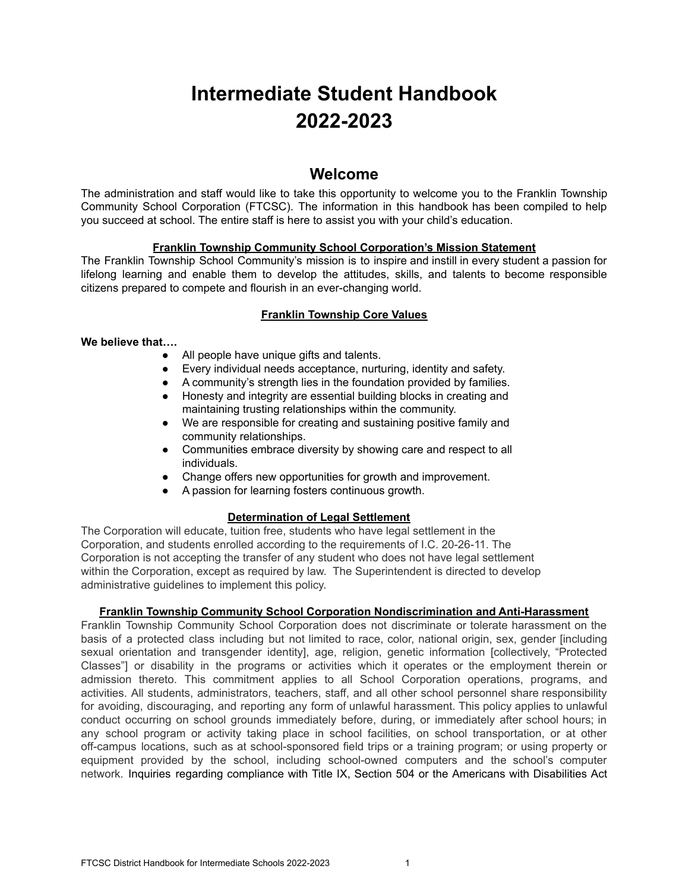# **Intermediate Student Handbook 2022-2023**

# **Welcome**

The administration and staff would like to take this opportunity to welcome you to the Franklin Township Community School Corporation (FTCSC). The information in this handbook has been compiled to help you succeed at school. The entire staff is here to assist you with your child's education.

# **Franklin Township Community School Corporation's Mission Statement**

The Franklin Township School Community's mission is to inspire and instill in every student a passion for lifelong learning and enable them to develop the attitudes, skills, and talents to become responsible citizens prepared to compete and flourish in an ever-changing world.

# **Franklin Township Core Values**

# **We believe that….**

- All people have unique gifts and talents.
- Every individual needs acceptance, nurturing, identity and safety.
- A community's strength lies in the foundation provided by families.
- Honesty and integrity are essential building blocks in creating and maintaining trusting relationships within the community.
- We are responsible for creating and sustaining positive family and community relationships.
- Communities embrace diversity by showing care and respect to all individuals.
- Change offers new opportunities for growth and improvement.
- A passion for learning fosters continuous growth.

# **Determination of Legal Settlement**

The Corporation will educate, tuition free, students who have legal settlement in the Corporation, and students enrolled according to the requirements of I.C. 20-26-11. The Corporation is not accepting the transfer of any student who does not have legal settlement within the Corporation, except as required by law. The Superintendent is directed to develop administrative guidelines to implement this policy.

# **Franklin Township Community School Corporation Nondiscrimination and Anti-Harassment**

Franklin Township Community School Corporation does not discriminate or tolerate harassment on the basis of a protected class including but not limited to race, color, national origin, sex, gender [including sexual orientation and transgender identity], age, religion, genetic information [collectively, "Protected Classes"] or disability in the programs or activities which it operates or the employment therein or admission thereto. This commitment applies to all School Corporation operations, programs, and activities. All students, administrators, teachers, staff, and all other school personnel share responsibility for avoiding, discouraging, and reporting any form of unlawful harassment. This policy applies to unlawful conduct occurring on school grounds immediately before, during, or immediately after school hours; in any school program or activity taking place in school facilities, on school transportation, or at other off-campus locations, such as at school-sponsored field trips or a training program; or using property or equipment provided by the school, including school-owned computers and the school's computer network. Inquiries regarding compliance with Title IX, Section 504 or the Americans with Disabilities Act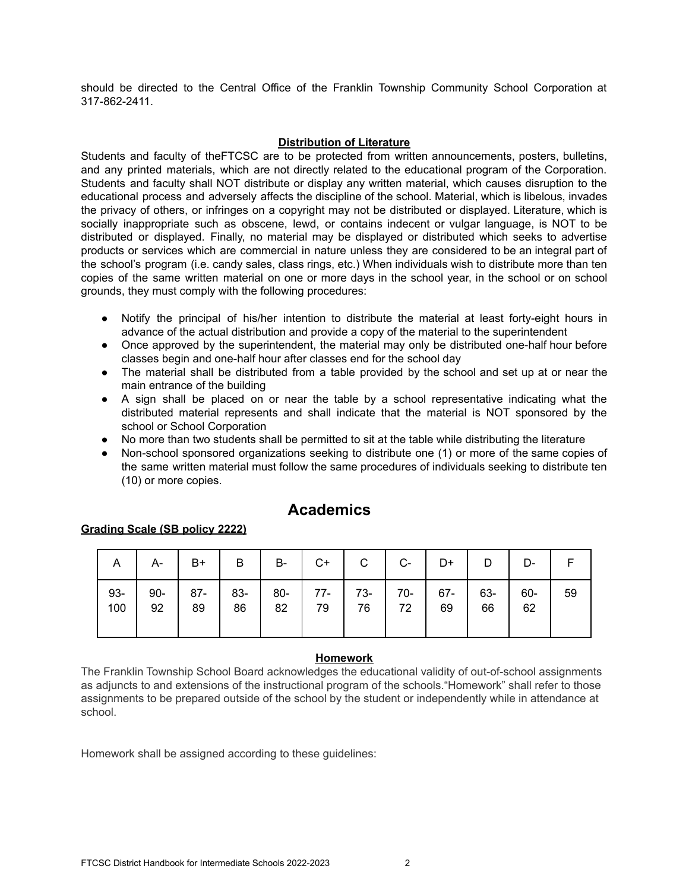should be directed to the Central Office of the Franklin Township Community School Corporation at 317-862-2411.

# **Distribution of Literature**

Students and faculty of theFTCSC are to be protected from written announcements, posters, bulletins, and any printed materials, which are not directly related to the educational program of the Corporation. Students and faculty shall NOT distribute or display any written material, which causes disruption to the educational process and adversely affects the discipline of the school. Material, which is libelous, invades the privacy of others, or infringes on a copyright may not be distributed or displayed. Literature, which is socially inappropriate such as obscene, lewd, or contains indecent or vulgar language, is NOT to be distributed or displayed. Finally, no material may be displayed or distributed which seeks to advertise products or services which are commercial in nature unless they are considered to be an integral part of the school's program (i.e. candy sales, class rings, etc.) When individuals wish to distribute more than ten copies of the same written material on one or more days in the school year, in the school or on school grounds, they must comply with the following procedures:

- Notify the principal of his/her intention to distribute the material at least forty-eight hours in advance of the actual distribution and provide a copy of the material to the superintendent
- Once approved by the superintendent, the material may only be distributed one-half hour before classes begin and one-half hour after classes end for the school day
- The material shall be distributed from a table provided by the school and set up at or near the main entrance of the building
- A sign shall be placed on or near the table by a school representative indicating what the distributed material represents and shall indicate that the material is NOT sponsored by the school or School Corporation
- No more than two students shall be permitted to sit at the table while distributing the literature
- Non-school sponsored organizations seeking to distribute one (1) or more of the same copies of the same written material must follow the same procedures of individuals seeking to distribute ten (10) or more copies.

| <b>Academics</b> |  |
|------------------|--|
|                  |  |

| A.     |       | $A -$ B+ |                                                       |  | B   B-   C+  |         | $C$ $C$ - $D+$ $D$ |                | D-        |    |
|--------|-------|----------|-------------------------------------------------------|--|--------------|---------|--------------------|----------------|-----------|----|
| $93 -$ | $100$ | 92       | 90-   87-   83-   80-   77-   73-   70-   67-  <br>89 |  | 86   82   79 | 76   72 | 69                 | $63 - 1$<br>66 | 60-<br>62 | 59 |

# **Grading Scale (SB policy 2222)**

### **Homework**

The Franklin Township School Board acknowledges the educational validity of out-of-school assignments as adjuncts to and extensions of the instructional program of the schools."Homework" shall refer to those assignments to be prepared outside of the school by the student or independently while in attendance at school.

Homework shall be assigned according to these guidelines: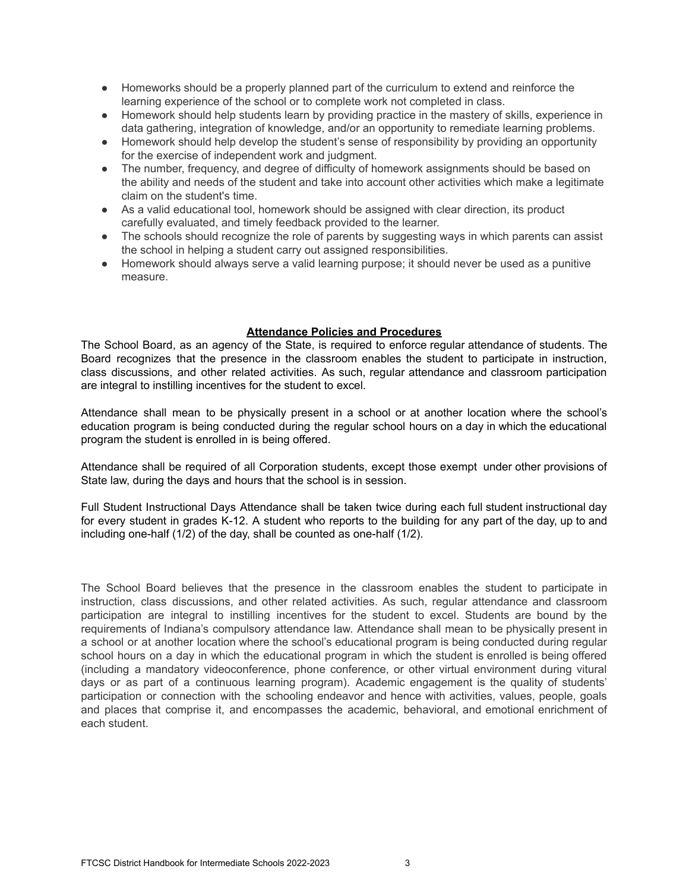- Homeworks should be a properly planned part of the curriculum to extend and reinforce the learning experience of the school or to complete work not completed in class.
- Homework should help students learn by providing practice in the mastery of skills, experience in data gathering, integration of knowledge, and/or an opportunity to remediate learning problems.
- Homework should help develop the student's sense of responsibility by providing an opportunity for the exercise of independent work and judgment.
- The number, frequency, and degree of difficulty of homework assignments should be based on the ability and needs of the student and take into account other activities which make a legitimate claim on the student's time.
- As a valid educational tool, homework should be assigned with clear direction, its product carefully evaluated, and timely feedback provided to the learner.
- The schools should recognize the role of parents by suggesting ways in which parents can assist the school in helping a student carry out assigned responsibilities.
- Homework should always serve a valid learning purpose; it should never be used as a punitive measure.

# **Attendance Policies and Procedures**

The School Board, as an agency of the State, is required to enforce regular attendance of students. The Board recognizes that the presence in the classroom enables the student to participate in instruction, class discussions, and other related activities. As such, regular attendance and classroom participation are integral to instilling incentives for the student to excel.

Attendance shall mean to be physically present in a school or at another location where the school's education program is being conducted during the regular school hours on a day in which the educational program the student is enrolled in is being offered.

Attendance shall be required of all Corporation students, except those exempt under other provisions of State law, during the days and hours that the school is in session.

Full Student Instructional Days Attendance shall be taken twice during each full student instructional day for every student in grades K-12. A student who reports to the building for any part of the day, up to and including one-half (1/2) of the day, shall be counted as one-half (1/2).

The School Board believes that the presence in the classroom enables the student to participate in instruction, class discussions, and other related activities. As such, regular attendance and classroom participation are integral to instilling incentives for the student to excel. Students are bound by the requirements of Indiana's compulsory attendance law. Attendance shall mean to be physically present in a school or at another location where the school's educational program is being conducted during regular school hours on a day in which the educational program in which the student is enrolled is being offered (including a mandatory videoconference, phone conference, or other virtual environment during vitural days or as part of a continuous learning program). Academic engagement is the quality of students' participation or connection with the schooling endeavor and hence with activities, values, people, goals and places that comprise it, and encompasses the academic, behavioral, and emotional enrichment of each student.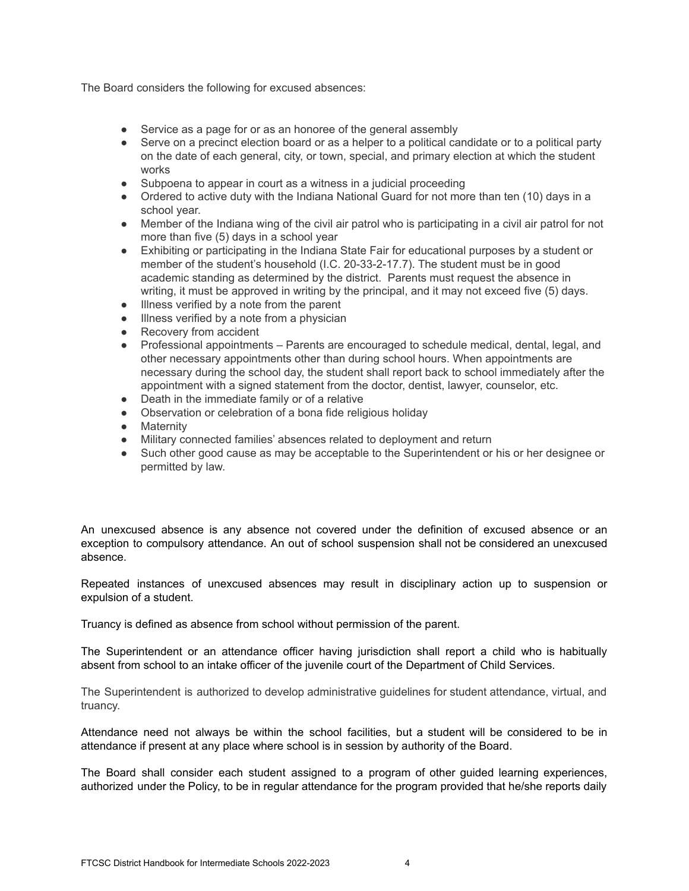The Board considers the following for excused absences:

- Service as a page for or as an honoree of the general assembly
- Serve on a precinct election board or as a helper to a political candidate or to a political party on the date of each general, city, or town, special, and primary election at which the student works
- Subpoena to appear in court as a witness in a judicial proceeding
- Ordered to active duty with the Indiana National Guard for not more than ten (10) days in a school year.
- Member of the Indiana wing of the civil air patrol who is participating in a civil air patrol for not more than five (5) days in a school year
- Exhibiting or participating in the Indiana State Fair for educational purposes by a student or member of the student's household (I.C. 20-33-2-17.7). The student must be in good academic standing as determined by the district. Parents must request the absence in writing, it must be approved in writing by the principal, and it may not exceed five (5) days.
- Illness verified by a note from the parent
- Illness verified by a note from a physician
- Recovery from accident
- Professional appointments Parents are encouraged to schedule medical, dental, legal, and other necessary appointments other than during school hours. When appointments are necessary during the school day, the student shall report back to school immediately after the appointment with a signed statement from the doctor, dentist, lawyer, counselor, etc.
- Death in the immediate family or of a relative
- Observation or celebration of a bona fide religious holiday
- Maternity
- Military connected families' absences related to deployment and return
- Such other good cause as may be acceptable to the Superintendent or his or her designee or permitted by law.

An unexcused absence is any absence not covered under the definition of excused absence or an exception to compulsory attendance. An out of school suspension shall not be considered an unexcused absence.

Repeated instances of unexcused absences may result in disciplinary action up to suspension or expulsion of a student.

Truancy is defined as absence from school without permission of the parent.

The Superintendent or an attendance officer having jurisdiction shall report a child who is habitually absent from school to an intake officer of the juvenile court of the Department of Child Services.

The Superintendent is authorized to develop administrative guidelines for student attendance, virtual, and truancy.

Attendance need not always be within the school facilities, but a student will be considered to be in attendance if present at any place where school is in session by authority of the Board.

The Board shall consider each student assigned to a program of other guided learning experiences, authorized under the Policy, to be in regular attendance for the program provided that he/she reports daily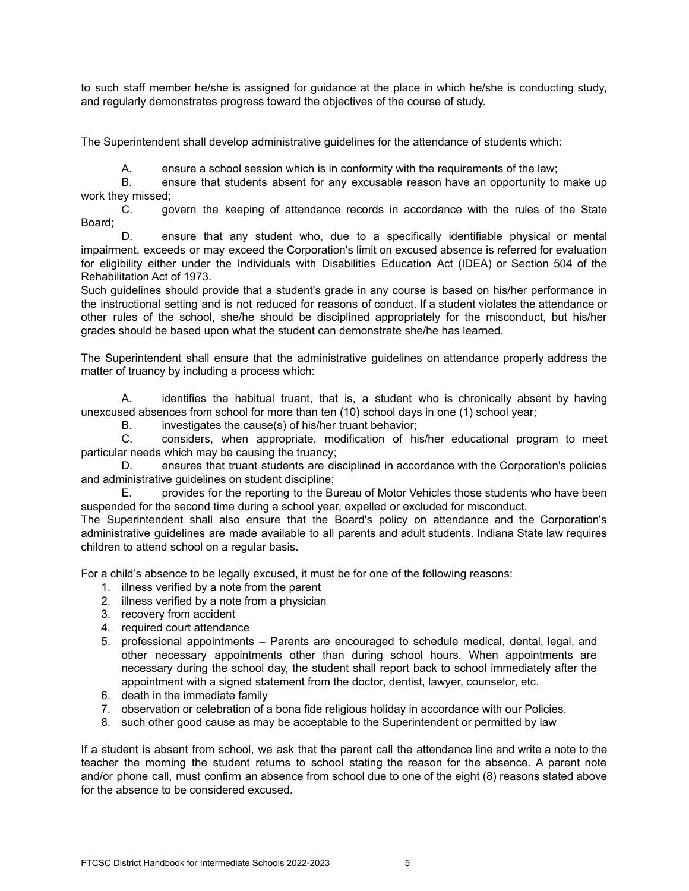to such staff member he/she is assigned for guidance at the place in which he/she is conducting study, and regularly demonstrates progress toward the objectives of the course of study.

The Superintendent shall develop administrative guidelines for the attendance of students which:

A. ensure a school session which is in conformity with the requirements of the law;

B. ensure that students absent for any excusable reason have an opportunity to make up work they missed;

C. govern the keeping of attendance records in accordance with the rules of the State Board;

D. ensure that any student who, due to a specifically identifiable physical or mental impairment, exceeds or may exceed the Corporation's limit on excused absence is referred for evaluation for eligibility either under the Individuals with Disabilities Education Act (IDEA) or Section 504 of the Rehabilitation Act of 1973.

Such guidelines should provide that a student's grade in any course is based on his/her performance in the instructional setting and is not reduced for reasons of conduct. If a student violates the attendance or other rules of the school, she/he should be disciplined appropriately for the misconduct, but his/her grades should be based upon what the student can demonstrate she/he has learned.

The Superintendent shall ensure that the administrative guidelines on attendance properly address the matter of truancy by including a process which:

A. identifies the habitual truant, that is, a student who is chronically absent by having unexcused absences from school for more than ten (10) school days in one (1) school year;

B. investigates the cause(s) of his/her truant behavior;

C. considers, when appropriate, modification of his/her educational program to meet particular needs which may be causing the truancy;

D. ensures that truant students are disciplined in accordance with the Corporation's policies and administrative guidelines on student discipline;

E. provides for the reporting to the Bureau of Motor Vehicles those students who have been suspended for the second time during a school year, expelled or excluded for misconduct.

The Superintendent shall also ensure that the Board's policy on attendance and the Corporation's administrative guidelines are made available to all parents and adult students. Indiana State law requires children to attend school on a regular basis.

For a child's absence to be legally excused, it must be for one of the following reasons:

- 1. illness verified by a note from the parent
- 2. illness verified by a note from a physician
- 3. recovery from accident
- 4. required court attendance
- 5. professional appointments Parents are encouraged to schedule medical, dental, legal, and other necessary appointments other than during school hours. When appointments are necessary during the school day, the student shall report back to school immediately after the appointment with a signed statement from the doctor, dentist, lawyer, counselor, etc.
- 6. death in the immediate family
- 7. observation or celebration of a bona fide religious holiday in accordance with our Policies.
- 8. such other good cause as may be acceptable to the Superintendent or permitted by law

If a student is absent from school, we ask that the parent call the attendance line and write a note to the teacher the morning the student returns to school stating the reason for the absence. A parent note and/or phone call, must confirm an absence from school due to one of the eight (8) reasons stated above for the absence to be considered excused.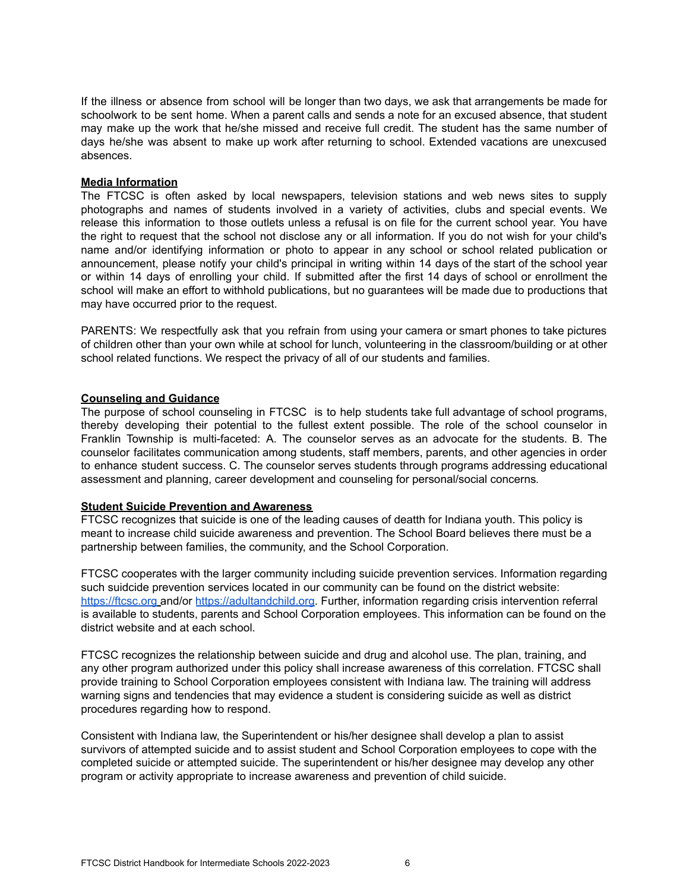If the illness or absence from school will be longer than two days, we ask that arrangements be made for schoolwork to be sent home. When a parent calls and sends a note for an excused absence, that student may make up the work that he/she missed and receive full credit. The student has the same number of days he/she was absent to make up work after returning to school. Extended vacations are unexcused absences.

### **Media Information**

The FTCSC is often asked by local newspapers, television stations and web news sites to supply photographs and names of students involved in a variety of activities, clubs and special events. We release this information to those outlets unless a refusal is on file for the current school year. You have the right to request that the school not disclose any or all information. If you do not wish for your child's name and/or identifying information or photo to appear in any school or school related publication or announcement, please notify your child's principal in writing within 14 days of the start of the school year or within 14 days of enrolling your child. If submitted after the first 14 days of school or enrollment the school will make an effort to withhold publications, but no guarantees will be made due to productions that may have occurred prior to the request.

PARENTS: We respectfully ask that you refrain from using your camera or smart phones to take pictures of children other than your own while at school for lunch, volunteering in the classroom/building or at other school related functions. We respect the privacy of all of our students and families.

#### **Counseling and Guidance**

The purpose of school counseling in FTCSC is to help students take full advantage of school programs, thereby developing their potential to the fullest extent possible. The role of the school counselor in Franklin Township is multi-faceted: A. The counselor serves as an advocate for the students. B. The counselor facilitates communication among students, staff members, parents, and other agencies in order to enhance student success. C. The counselor serves students through programs addressing educational assessment and planning, career development and counseling for personal/social concerns.

### **Student Suicide Prevention and Awareness**

FTCSC recognizes that suicide is one of the leading causes of deatth for Indiana youth. This policy is meant to increase child suicide awareness and prevention. The School Board believes there must be a partnership between families, the community, and the School Corporation.

FTCSC cooperates with the larger community including suicide prevention services. Information regarding such suidcide prevention services located in our community can be found on the district website: <https://ftcsc.org> and/or [https://adultandchild.org.](https://adultandchild.org) Further, information regarding crisis intervention referral is available to students, parents and School Corporation employees. This information can be found on the district website and at each school.

FTCSC recognizes the relationship between suicide and drug and alcohol use. The plan, training, and any other program authorized under this policy shall increase awareness of this correlation. FTCSC shall provide training to School Corporation employees consistent with Indiana law. The training will address warning signs and tendencies that may evidence a student is considering suicide as well as district procedures regarding how to respond.

Consistent with Indiana law, the Superintendent or his/her designee shall develop a plan to assist survivors of attempted suicide and to assist student and School Corporation employees to cope with the completed suicide or attempted suicide. The superintendent or his/her designee may develop any other program or activity appropriate to increase awareness and prevention of child suicide.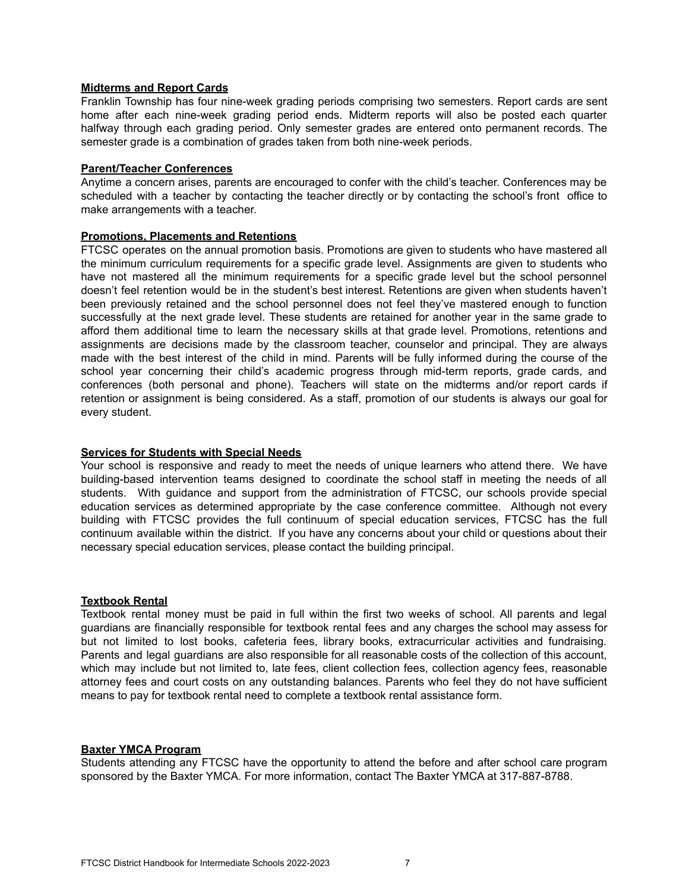### **Midterms and Report Cards**

Franklin Township has four nine-week grading periods comprising two semesters. Report cards are sent home after each nine-week grading period ends. Midterm reports will also be posted each quarter halfway through each grading period. Only semester grades are entered onto permanent records. The semester grade is a combination of grades taken from both nine-week periods.

### **Parent/Teacher Conferences**

Anytime a concern arises, parents are encouraged to confer with the child's teacher. Conferences may be scheduled with a teacher by contacting the teacher directly or by contacting the school's front office to make arrangements with a teacher.

# **Promotions, Placements and Retentions**

FTCSC operates on the annual promotion basis. Promotions are given to students who have mastered all the minimum curriculum requirements for a specific grade level. Assignments are given to students who have not mastered all the minimum requirements for a specific grade level but the school personnel doesn't feel retention would be in the student's best interest. Retentions are given when students haven't been previously retained and the school personnel does not feel they've mastered enough to function successfully at the next grade level. These students are retained for another year in the same grade to afford them additional time to learn the necessary skills at that grade level. Promotions, retentions and assignments are decisions made by the classroom teacher, counselor and principal. They are always made with the best interest of the child in mind. Parents will be fully informed during the course of the school year concerning their child's academic progress through mid-term reports, grade cards, and conferences (both personal and phone). Teachers will state on the midterms and/or report cards if retention or assignment is being considered. As a staff, promotion of our students is always our goal for every student.

# **Services for Students with Special Needs**

Your school is responsive and ready to meet the needs of unique learners who attend there. We have building-based intervention teams designed to coordinate the school staff in meeting the needs of all students. With guidance and support from the administration of FTCSC, our schools provide special education services as determined appropriate by the case conference committee. Although not every building with FTCSC provides the full continuum of special education services, FTCSC has the full continuum available within the district. If you have any concerns about your child or questions about their necessary special education services, please contact the building principal.

### **Textbook Rental**

Textbook rental money must be paid in full within the first two weeks of school. All parents and legal guardians are financially responsible for textbook rental fees and any charges the school may assess for but not limited to lost books, cafeteria fees, library books, extracurricular activities and fundraising. Parents and legal guardians are also responsible for all reasonable costs of the collection of this account, which may include but not limited to, late fees, client collection fees, collection agency fees, reasonable attorney fees and court costs on any outstanding balances. Parents who feel they do not have sufficient means to pay for textbook rental need to complete a textbook rental assistance form.

### **Baxter YMCA Program**

Students attending any FTCSC have the opportunity to attend the before and after school care program sponsored by the Baxter YMCA. For more information, contact The Baxter YMCA at 317-887-8788.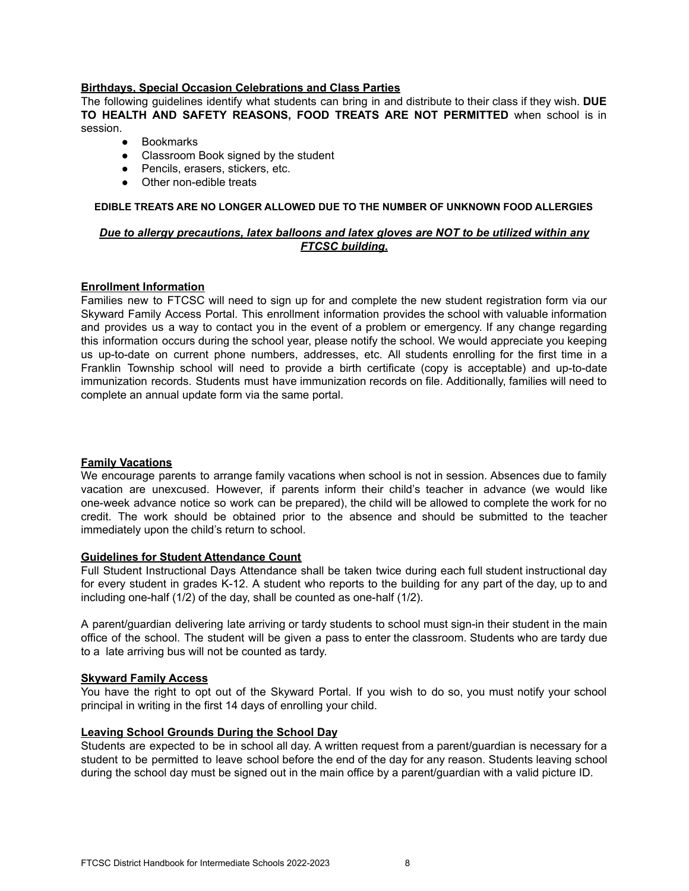### **Birthdays, Special Occasion Celebrations and Class Parties**

The following guidelines identify what students can bring in and distribute to their class if they wish. **DUE TO HEALTH AND SAFETY REASONS, FOOD TREATS ARE NOT PERMITTED** when school is in session.

- Bookmarks
- Classroom Book signed by the student
- Pencils, erasers, stickers, etc.
- Other non-edible treats

### **EDIBLE TREATS ARE NO LONGER ALLOWED DUE TO THE NUMBER OF UNKNOWN FOOD ALLERGIES**

# *Due to allergy precautions, latex balloons and latex gloves are NOT to be utilized within any FTCSC building***.**

#### **Enrollment Information**

Families new to FTCSC will need to sign up for and complete the new student registration form via our Skyward Family Access Portal. This enrollment information provides the school with valuable information and provides us a way to contact you in the event of a problem or emergency. If any change regarding this information occurs during the school year, please notify the school. We would appreciate you keeping us up-to-date on current phone numbers, addresses, etc. All students enrolling for the first time in a Franklin Township school will need to provide a birth certificate (copy is acceptable) and up-to-date immunization records. Students must have immunization records on file. Additionally, families will need to complete an annual update form via the same portal.

### **Family Vacations**

We encourage parents to arrange family vacations when school is not in session. Absences due to family vacation are unexcused. However, if parents inform their child's teacher in advance (we would like one-week advance notice so work can be prepared), the child will be allowed to complete the work for no credit. The work should be obtained prior to the absence and should be submitted to the teacher immediately upon the child's return to school.

#### **Guidelines for Student Attendance Count**

Full Student Instructional Days Attendance shall be taken twice during each full student instructional day for every student in grades K-12. A student who reports to the building for any part of the day, up to and including one-half (1/2) of the day, shall be counted as one-half (1/2).

A parent/guardian delivering late arriving or tardy students to school must sign-in their student in the main office of the school. The student will be given a pass to enter the classroom. Students who are tardy due to a late arriving bus will not be counted as tardy.

### **Skyward Family Access**

You have the right to opt out of the Skyward Portal. If you wish to do so, you must notify your school principal in writing in the first 14 days of enrolling your child.

### **Leaving School Grounds During the School Day**

Students are expected to be in school all day. A written request from a parent/guardian is necessary for a student to be permitted to leave school before the end of the day for any reason. Students leaving school during the school day must be signed out in the main office by a parent/guardian with a valid picture ID.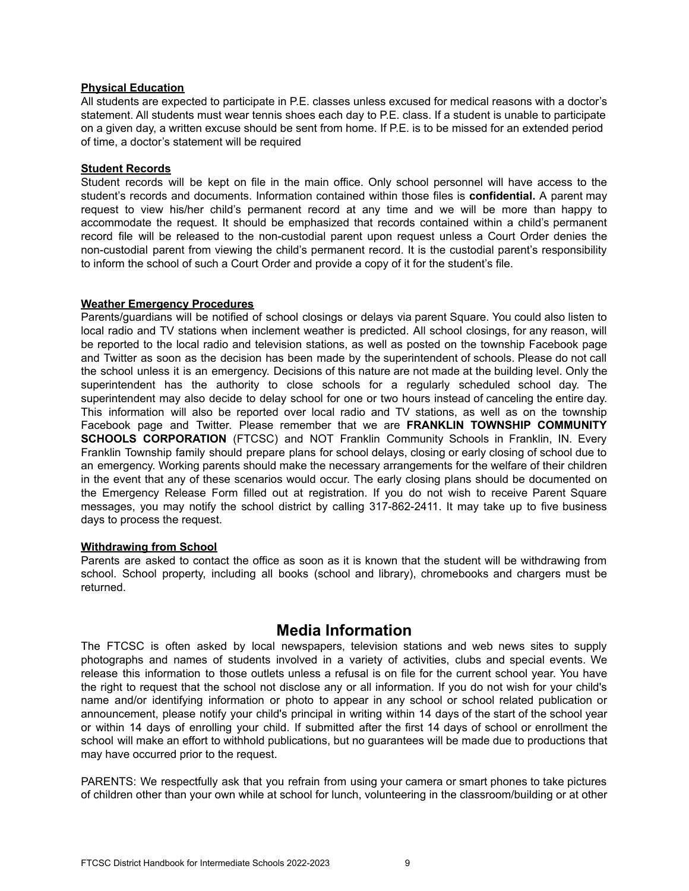### **Physical Education**

All students are expected to participate in P.E. classes unless excused for medical reasons with a doctor's statement. All students must wear tennis shoes each day to P.E. class. If a student is unable to participate on a given day, a written excuse should be sent from home. If P.E. is to be missed for an extended period of time, a doctor's statement will be required

# **Student Records**

Student records will be kept on file in the main office. Only school personnel will have access to the student's records and documents. Information contained within those files is **confidential.** A parent may request to view his/her child's permanent record at any time and we will be more than happy to accommodate the request. It should be emphasized that records contained within a child's permanent record file will be released to the non-custodial parent upon request unless a Court Order denies the non-custodial parent from viewing the child's permanent record. It is the custodial parent's responsibility to inform the school of such a Court Order and provide a copy of it for the student's file.

# **Weather Emergency Procedures**

Parents/guardians will be notified of school closings or delays via parent Square. You could also listen to local radio and TV stations when inclement weather is predicted. All school closings, for any reason, will be reported to the local radio and television stations, as well as posted on the township Facebook page and Twitter as soon as the decision has been made by the superintendent of schools. Please do not call the school unless it is an emergency. Decisions of this nature are not made at the building level. Only the superintendent has the authority to close schools for a regularly scheduled school day. The superintendent may also decide to delay school for one or two hours instead of canceling the entire day. This information will also be reported over local radio and TV stations, as well as on the township Facebook page and Twitter. Please remember that we are **FRANKLIN TOWNSHIP COMMUNITY SCHOOLS CORPORATION** (FTCSC) and NOT Franklin Community Schools in Franklin, IN. Every Franklin Township family should prepare plans for school delays, closing or early closing of school due to an emergency. Working parents should make the necessary arrangements for the welfare of their children in the event that any of these scenarios would occur. The early closing plans should be documented on the Emergency Release Form filled out at registration. If you do not wish to receive Parent Square messages, you may notify the school district by calling 317-862-2411. It may take up to five business days to process the request.

### **Withdrawing from School**

Parents are asked to contact the office as soon as it is known that the student will be withdrawing from school. School property, including all books (school and library), chromebooks and chargers must be returned.

# **Media Information**

The FTCSC is often asked by local newspapers, television stations and web news sites to supply photographs and names of students involved in a variety of activities, clubs and special events. We release this information to those outlets unless a refusal is on file for the current school year. You have the right to request that the school not disclose any or all information. If you do not wish for your child's name and/or identifying information or photo to appear in any school or school related publication or announcement, please notify your child's principal in writing within 14 days of the start of the school year or within 14 days of enrolling your child. If submitted after the first 14 days of school or enrollment the school will make an effort to withhold publications, but no guarantees will be made due to productions that may have occurred prior to the request.

PARENTS: We respectfully ask that you refrain from using your camera or smart phones to take pictures of children other than your own while at school for lunch, volunteering in the classroom/building or at other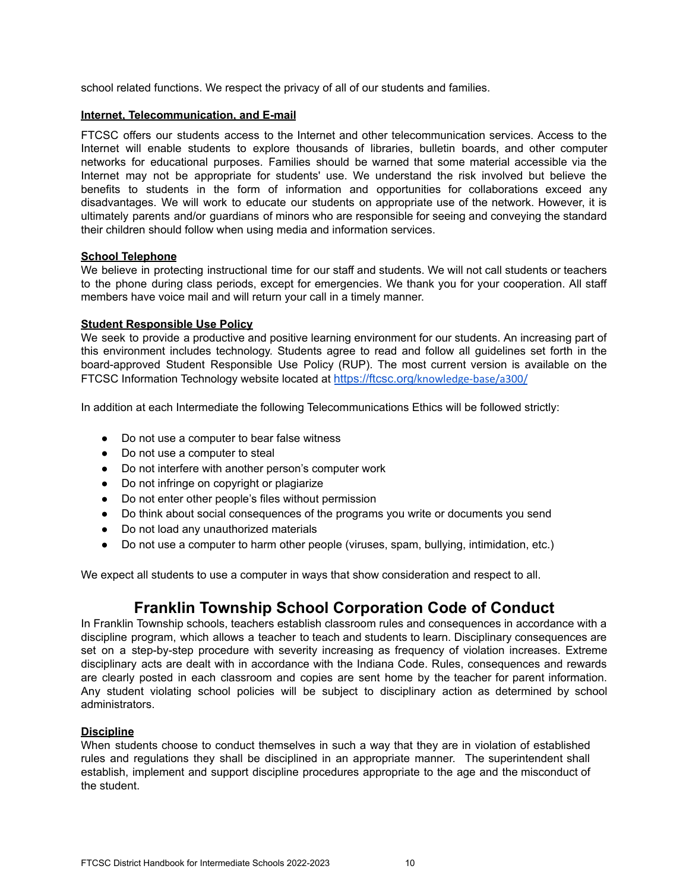school related functions. We respect the privacy of all of our students and families.

# **Internet, Telecommunication, and E-mail**

FTCSC offers our students access to the Internet and other telecommunication services. Access to the Internet will enable students to explore thousands of libraries, bulletin boards, and other computer networks for educational purposes. Families should be warned that some material accessible via the Internet may not be appropriate for students' use. We understand the risk involved but believe the benefits to students in the form of information and opportunities for collaborations exceed any disadvantages. We will work to educate our students on appropriate use of the network. However, it is ultimately parents and/or guardians of minors who are responsible for seeing and conveying the standard their children should follow when using media and information services.

# **School Telephone**

We believe in protecting instructional time for our staff and students. We will not call students or teachers to the phone during class periods, except for emergencies. We thank you for your cooperation. All staff members have voice mail and will return your call in a timely manner.

# **Student Responsible Use Policy**

We seek to provide a productive and positive learning environment for our students. An increasing part of this environment includes technology. Students agree to read and follow all guidelines set forth in the board-approved Student Responsible Use Policy (RUP). The most current version is available on the FTCSC Information Technology website located at https://ftcsc.org/[knowledge-base/a300/](https://ftcsc.org/information-technology/)

In addition at each Intermediate the following Telecommunications Ethics will be followed strictly:

- Do not use a computer to bear false witness
- Do not use a computer to steal
- Do not interfere with another person's computer work
- Do not infringe on copyright or plagiarize
- Do not enter other people's files without permission
- Do think about social consequences of the programs you write or documents you send
- Do not load any unauthorized materials
- Do not use a computer to harm other people (viruses, spam, bullying, intimidation, etc.)

We expect all students to use a computer in ways that show consideration and respect to all.

# **Franklin Township School Corporation Code of Conduct**

In Franklin Township schools, teachers establish classroom rules and consequences in accordance with a discipline program, which allows a teacher to teach and students to learn. Disciplinary consequences are set on a step-by-step procedure with severity increasing as frequency of violation increases. Extreme disciplinary acts are dealt with in accordance with the Indiana Code. Rules, consequences and rewards are clearly posted in each classroom and copies are sent home by the teacher for parent information. Any student violating school policies will be subject to disciplinary action as determined by school administrators.

### **Discipline**

When students choose to conduct themselves in such a way that they are in violation of established rules and regulations they shall be disciplined in an appropriate manner. The superintendent shall establish, implement and support discipline procedures appropriate to the age and the misconduct of the student.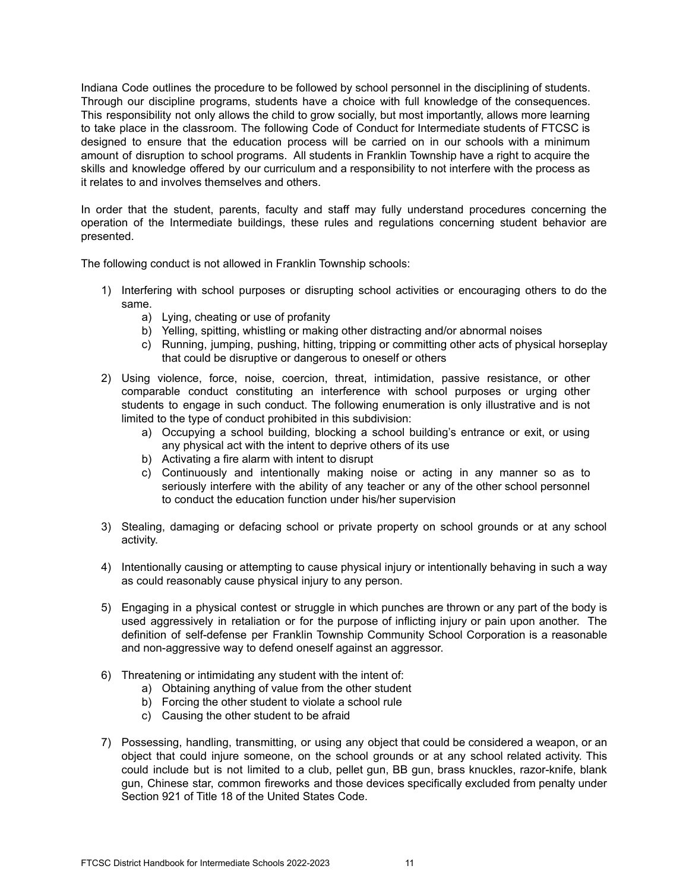Indiana Code outlines the procedure to be followed by school personnel in the disciplining of students. Through our discipline programs, students have a choice with full knowledge of the consequences. This responsibility not only allows the child to grow socially, but most importantly, allows more learning to take place in the classroom. The following Code of Conduct for Intermediate students of FTCSC is designed to ensure that the education process will be carried on in our schools with a minimum amount of disruption to school programs. All students in Franklin Township have a right to acquire the skills and knowledge offered by our curriculum and a responsibility to not interfere with the process as it relates to and involves themselves and others.

In order that the student, parents, faculty and staff may fully understand procedures concerning the operation of the Intermediate buildings, these rules and regulations concerning student behavior are presented.

The following conduct is not allowed in Franklin Township schools:

- 1) Interfering with school purposes or disrupting school activities or encouraging others to do the same.
	- a) Lying, cheating or use of profanity
	- b) Yelling, spitting, whistling or making other distracting and/or abnormal noises
	- c) Running, jumping, pushing, hitting, tripping or committing other acts of physical horseplay that could be disruptive or dangerous to oneself or others
- 2) Using violence, force, noise, coercion, threat, intimidation, passive resistance, or other comparable conduct constituting an interference with school purposes or urging other students to engage in such conduct. The following enumeration is only illustrative and is not limited to the type of conduct prohibited in this subdivision:
	- a) Occupying a school building, blocking a school building's entrance or exit, or using any physical act with the intent to deprive others of its use
	- b) Activating a fire alarm with intent to disrupt
	- c) Continuously and intentionally making noise or acting in any manner so as to seriously interfere with the ability of any teacher or any of the other school personnel to conduct the education function under his/her supervision
- 3) Stealing, damaging or defacing school or private property on school grounds or at any school activity.
- 4) Intentionally causing or attempting to cause physical injury or intentionally behaving in such a way as could reasonably cause physical injury to any person.
- 5) Engaging in a physical contest or struggle in which punches are thrown or any part of the body is used aggressively in retaliation or for the purpose of inflicting injury or pain upon another. The definition of self-defense per Franklin Township Community School Corporation is a reasonable and non-aggressive way to defend oneself against an aggressor.
- 6) Threatening or intimidating any student with the intent of:
	- a) Obtaining anything of value from the other student
	- b) Forcing the other student to violate a school rule
	- c) Causing the other student to be afraid
- 7) Possessing, handling, transmitting, or using any object that could be considered a weapon, or an object that could injure someone, on the school grounds or at any school related activity. This could include but is not limited to a club, pellet gun, BB gun, brass knuckles, razor-knife, blank gun, Chinese star, common fireworks and those devices specifically excluded from penalty under Section 921 of Title 18 of the United States Code.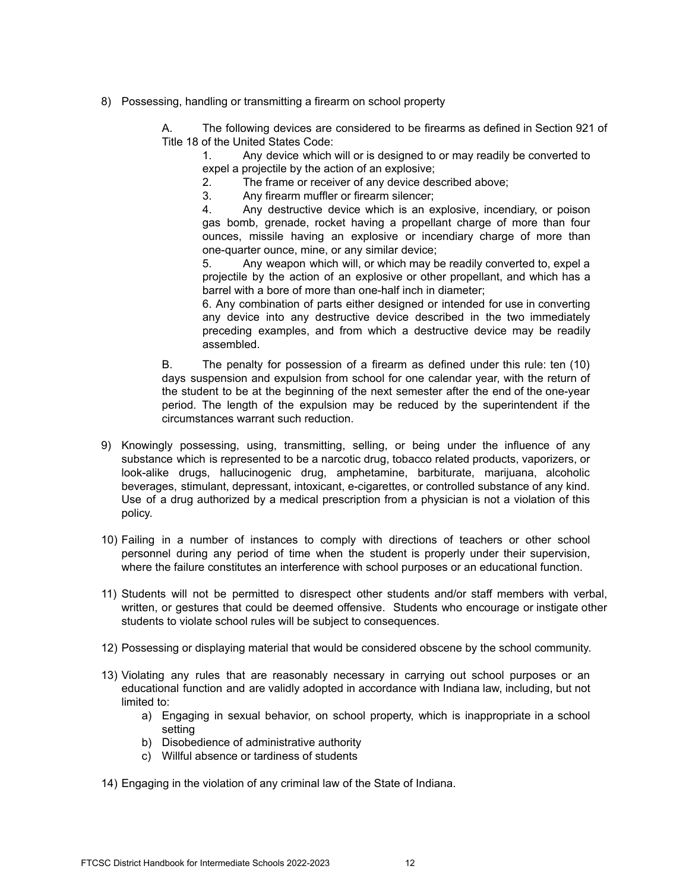8) Possessing, handling or transmitting a firearm on school property

A. The following devices are considered to be firearms as defined in Section 921 of Title 18 of the United States Code:

1. Any device which will or is designed to or may readily be converted to expel a projectile by the action of an explosive;

2. The frame or receiver of any device described above;

3. Any firearm muffler or firearm silencer;

4. Any destructive device which is an explosive, incendiary, or poison gas bomb, grenade, rocket having a propellant charge of more than four ounces, missile having an explosive or incendiary charge of more than one-quarter ounce, mine, or any similar device;

5. Any weapon which will, or which may be readily converted to, expel a projectile by the action of an explosive or other propellant, and which has a barrel with a bore of more than one-half inch in diameter;

6. Any combination of parts either designed or intended for use in converting any device into any destructive device described in the two immediately preceding examples, and from which a destructive device may be readily assembled.

B. The penalty for possession of a firearm as defined under this rule: ten (10) days suspension and expulsion from school for one calendar year, with the return of the student to be at the beginning of the next semester after the end of the one-year period. The length of the expulsion may be reduced by the superintendent if the circumstances warrant such reduction.

- 9) Knowingly possessing, using, transmitting, selling, or being under the influence of any substance which is represented to be a narcotic drug, tobacco related products, vaporizers, or look-alike drugs, hallucinogenic drug, amphetamine, barbiturate, marijuana, alcoholic beverages, stimulant, depressant, intoxicant, e-cigarettes, or controlled substance of any kind. Use of a drug authorized by a medical prescription from a physician is not a violation of this policy.
- 10) Failing in a number of instances to comply with directions of teachers or other school personnel during any period of time when the student is properly under their supervision, where the failure constitutes an interference with school purposes or an educational function.
- 11) Students will not be permitted to disrespect other students and/or staff members with verbal, written, or gestures that could be deemed offensive. Students who encourage or instigate other students to violate school rules will be subject to consequences.
- 12) Possessing or displaying material that would be considered obscene by the school community.
- 13) Violating any rules that are reasonably necessary in carrying out school purposes or an educational function and are validly adopted in accordance with Indiana law, including, but not limited to:
	- a) Engaging in sexual behavior, on school property, which is inappropriate in a school setting
	- b) Disobedience of administrative authority
	- c) Willful absence or tardiness of students
- 14) Engaging in the violation of any criminal law of the State of Indiana.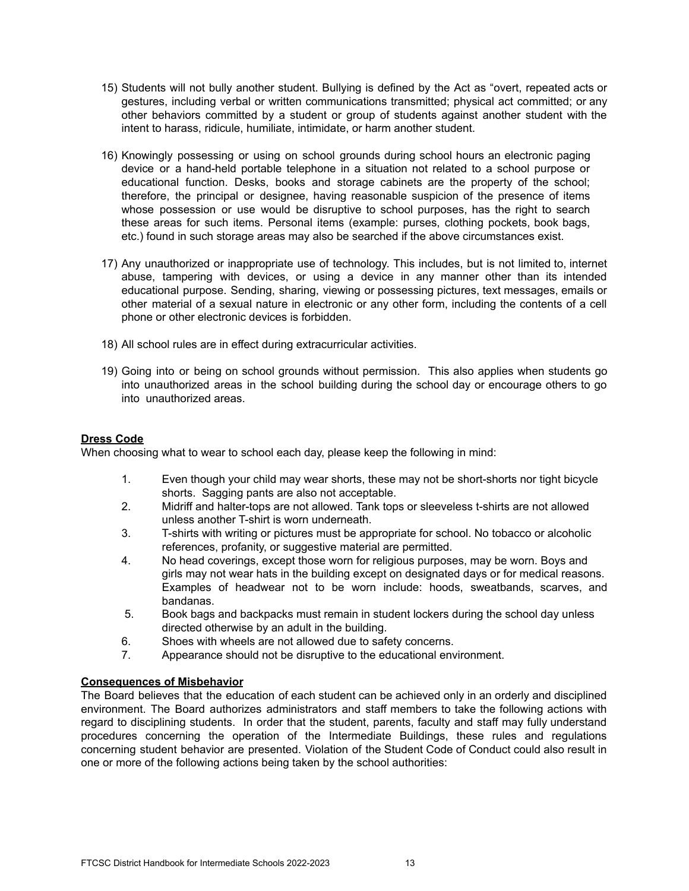- 15) Students will not bully another student. Bullying is defined by the Act as "overt, repeated acts or gestures, including verbal or written communications transmitted; physical act committed; or any other behaviors committed by a student or group of students against another student with the intent to harass, ridicule, humiliate, intimidate, or harm another student.
- 16) Knowingly possessing or using on school grounds during school hours an electronic paging device or a hand-held portable telephone in a situation not related to a school purpose or educational function. Desks, books and storage cabinets are the property of the school; therefore, the principal or designee, having reasonable suspicion of the presence of items whose possession or use would be disruptive to school purposes, has the right to search these areas for such items. Personal items (example: purses, clothing pockets, book bags, etc.) found in such storage areas may also be searched if the above circumstances exist.
- 17) Any unauthorized or inappropriate use of technology. This includes, but is not limited to, internet abuse, tampering with devices, or using a device in any manner other than its intended educational purpose. Sending, sharing, viewing or possessing pictures, text messages, emails or other material of a sexual nature in electronic or any other form, including the contents of a cell phone or other electronic devices is forbidden.
- 18) All school rules are in effect during extracurricular activities.
- 19) Going into or being on school grounds without permission. This also applies when students go into unauthorized areas in the school building during the school day or encourage others to go into unauthorized areas.

# **Dress Code**

When choosing what to wear to school each day, please keep the following in mind:

- 1. Even though your child may wear shorts, these may not be short-shorts nor tight bicycle shorts. Sagging pants are also not acceptable.
- 2. Midriff and halter-tops are not allowed. Tank tops or sleeveless t-shirts are not allowed unless another T-shirt is worn underneath.
- 3. T-shirts with writing or pictures must be appropriate for school. No tobacco or alcoholic references, profanity, or suggestive material are permitted.
- 4. No head coverings, except those worn for religious purposes, may be worn. Boys and girls may not wear hats in the building except on designated days or for medical reasons. Examples of headwear not to be worn include: hoods, sweatbands, scarves, and bandanas.
- 5. Book bags and backpacks must remain in student lockers during the school day unless directed otherwise by an adult in the building.
- 6. Shoes with wheels are not allowed due to safety concerns.
- 7. Appearance should not be disruptive to the educational environment.

# **Consequences of Misbehavior**

The Board believes that the education of each student can be achieved only in an orderly and disciplined environment. The Board authorizes administrators and staff members to take the following actions with regard to disciplining students. In order that the student, parents, faculty and staff may fully understand procedures concerning the operation of the Intermediate Buildings, these rules and regulations concerning student behavior are presented. Violation of the Student Code of Conduct could also result in one or more of the following actions being taken by the school authorities: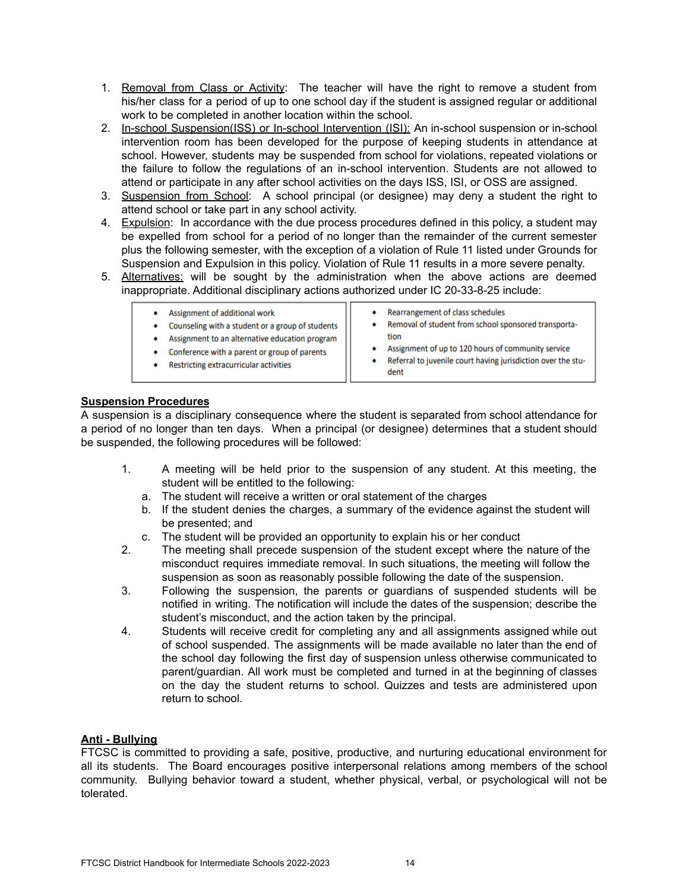- 1. Removal from Class or Activity: The teacher will have the right to remove a student from his/her class for a period of up to one school day if the student is assigned regular or additional work to be completed in another location within the school.
- 2. In-school Suspension(ISS) or In-school Intervention (ISI): An in-school suspension or in-school intervention room has been developed for the purpose of keeping students in attendance at school. However, students may be suspended from school for violations, repeated violations or the failure to follow the regulations of an in-school intervention. Students are not allowed to attend or participate in any after school activities on the days ISS, ISI, or OSS are assigned.
- 3. Suspension from School: A school principal (or designee) may deny a student the right to attend school or take part in any school activity.
- 4. Expulsion: In accordance with the due process procedures defined in this policy, a student may be expelled from school for a period of no longer than the remainder of the current semester plus the following semester, with the exception of a violation of Rule 11 listed under Grounds for Suspension and Expulsion in this policy. Violation of Rule 11 results in a more severe penalty.
- 5. Alternatives: will be sought by the administration when the above actions are deemed inappropriate. Additional disciplinary actions authorized under IC 20-33-8-25 include:

| Assignment of additional work<br>Counseling with a student or a group of students<br>Assignment to an alternative education program<br>Conference with a parent or group of parents<br>Restricting extracurricular activities | Rearrangement of class schedules<br>Removal of student from school sponsored transporta-<br>tion<br>Assignment of up to 120 hours of community service<br>Referral to juvenile court having jurisdiction over the stu-<br>dent |
|-------------------------------------------------------------------------------------------------------------------------------------------------------------------------------------------------------------------------------|--------------------------------------------------------------------------------------------------------------------------------------------------------------------------------------------------------------------------------|
|                                                                                                                                                                                                                               |                                                                                                                                                                                                                                |

# **Suspension Procedures**

A suspension is a disciplinary consequence where the student is separated from school attendance for a period of no longer than ten days. When a principal (or designee) determines that a student should be suspended, the following procedures will be followed:

- 1. A meeting will be held prior to the suspension of any student. At this meeting, the student will be entitled to the following:
	- a. The student will receive a written or oral statement of the charges
	- b. If the student denies the charges, a summary of the evidence against the student will be presented; and
	- c. The student will be provided an opportunity to explain his or her conduct
- 2. The meeting shall precede suspension of the student except where the nature of the misconduct requires immediate removal. In such situations, the meeting will follow the suspension as soon as reasonably possible following the date of the suspension.
- 3. Following the suspension, the parents or guardians of suspended students will be notified in writing. The notification will include the dates of the suspension; describe the student's misconduct, and the action taken by the principal.
- 4. Students will receive credit for completing any and all assignments assigned while out of school suspended. The assignments will be made available no later than the end of the school day following the first day of suspension unless otherwise communicated to parent/guardian. All work must be completed and turned in at the beginning of classes on the day the student returns to school. Quizzes and tests are administered upon return to school.

# **Anti - Bullying**

FTCSC is committed to providing a safe, positive, productive, and nurturing educational environment for all its students. The Board encourages positive interpersonal relations among members of the school community. Bullying behavior toward a student, whether physical, verbal, or psychological will not be tolerated.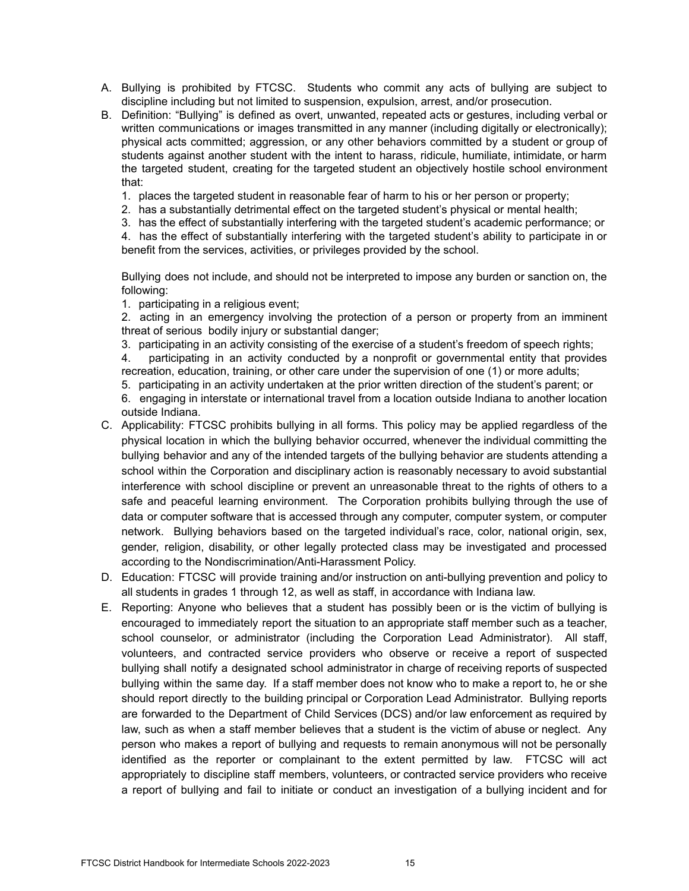- A. Bullying is prohibited by FTCSC. Students who commit any acts of bullying are subject to discipline including but not limited to suspension, expulsion, arrest, and/or prosecution.
- B. Definition: "Bullying" is defined as overt, unwanted, repeated acts or gestures, including verbal or written communications or images transmitted in any manner (including digitally or electronically); physical acts committed; aggression, or any other behaviors committed by a student or group of students against another student with the intent to harass, ridicule, humiliate, intimidate, or harm the targeted student, creating for the targeted student an objectively hostile school environment that:
	- 1. places the targeted student in reasonable fear of harm to his or her person or property;
	- 2. has a substantially detrimental effect on the targeted student's physical or mental health;
	- 3. has the effect of substantially interfering with the targeted student's academic performance; or

4. has the effect of substantially interfering with the targeted student's ability to participate in or benefit from the services, activities, or privileges provided by the school.

Bullying does not include, and should not be interpreted to impose any burden or sanction on, the following:

1. participating in a religious event;

2. acting in an emergency involving the protection of a person or property from an imminent threat of serious bodily injury or substantial danger;

3. participating in an activity consisting of the exercise of a student's freedom of speech rights;

4. participating in an activity conducted by a nonprofit or governmental entity that provides recreation, education, training, or other care under the supervision of one (1) or more adults;

5. participating in an activity undertaken at the prior written direction of the student's parent; or

6. engaging in interstate or international travel from a location outside Indiana to another location outside Indiana.

- C. Applicability: FTCSC prohibits bullying in all forms. This policy may be applied regardless of the physical location in which the bullying behavior occurred, whenever the individual committing the bullying behavior and any of the intended targets of the bullying behavior are students attending a school within the Corporation and disciplinary action is reasonably necessary to avoid substantial interference with school discipline or prevent an unreasonable threat to the rights of others to a safe and peaceful learning environment. The Corporation prohibits bullying through the use of data or computer software that is accessed through any computer, computer system, or computer network. Bullying behaviors based on the targeted individual's race, color, national origin, sex, gender, religion, disability, or other legally protected class may be investigated and processed according to the Nondiscrimination/Anti-Harassment Policy.
- D. Education: FTCSC will provide training and/or instruction on anti-bullying prevention and policy to all students in grades 1 through 12, as well as staff, in accordance with Indiana law.
- E. Reporting: Anyone who believes that a student has possibly been or is the victim of bullying is encouraged to immediately report the situation to an appropriate staff member such as a teacher, school counselor, or administrator (including the Corporation Lead Administrator). All staff, volunteers, and contracted service providers who observe or receive a report of suspected bullying shall notify a designated school administrator in charge of receiving reports of suspected bullying within the same day. If a staff member does not know who to make a report to, he or she should report directly to the building principal or Corporation Lead Administrator. Bullying reports are forwarded to the Department of Child Services (DCS) and/or law enforcement as required by law, such as when a staff member believes that a student is the victim of abuse or neglect. Any person who makes a report of bullying and requests to remain anonymous will not be personally identified as the reporter or complainant to the extent permitted by law. FTCSC will act appropriately to discipline staff members, volunteers, or contracted service providers who receive a report of bullying and fail to initiate or conduct an investigation of a bullying incident and for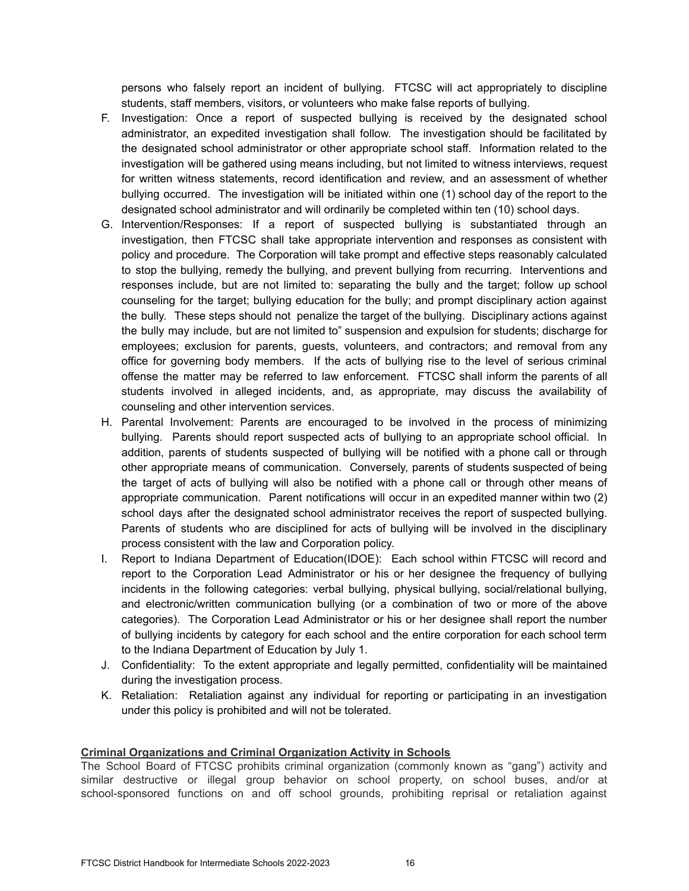persons who falsely report an incident of bullying. FTCSC will act appropriately to discipline students, staff members, visitors, or volunteers who make false reports of bullying.

- F. Investigation: Once a report of suspected bullying is received by the designated school administrator, an expedited investigation shall follow. The investigation should be facilitated by the designated school administrator or other appropriate school staff. Information related to the investigation will be gathered using means including, but not limited to witness interviews, request for written witness statements, record identification and review, and an assessment of whether bullying occurred. The investigation will be initiated within one (1) school day of the report to the designated school administrator and will ordinarily be completed within ten (10) school days.
- G. Intervention/Responses: If a report of suspected bullying is substantiated through an investigation, then FTCSC shall take appropriate intervention and responses as consistent with policy and procedure. The Corporation will take prompt and effective steps reasonably calculated to stop the bullying, remedy the bullying, and prevent bullying from recurring. Interventions and responses include, but are not limited to: separating the bully and the target; follow up school counseling for the target; bullying education for the bully; and prompt disciplinary action against the bully. These steps should not penalize the target of the bullying. Disciplinary actions against the bully may include, but are not limited to" suspension and expulsion for students; discharge for employees; exclusion for parents, guests, volunteers, and contractors; and removal from any office for governing body members. If the acts of bullying rise to the level of serious criminal offense the matter may be referred to law enforcement. FTCSC shall inform the parents of all students involved in alleged incidents, and, as appropriate, may discuss the availability of counseling and other intervention services.
- H. Parental Involvement: Parents are encouraged to be involved in the process of minimizing bullying. Parents should report suspected acts of bullying to an appropriate school official. In addition, parents of students suspected of bullying will be notified with a phone call or through other appropriate means of communication. Conversely, parents of students suspected of being the target of acts of bullying will also be notified with a phone call or through other means of appropriate communication. Parent notifications will occur in an expedited manner within two (2) school days after the designated school administrator receives the report of suspected bullying. Parents of students who are disciplined for acts of bullying will be involved in the disciplinary process consistent with the law and Corporation policy.
- I. Report to Indiana Department of Education(IDOE): Each school within FTCSC will record and report to the Corporation Lead Administrator or his or her designee the frequency of bullying incidents in the following categories: verbal bullying, physical bullying, social/relational bullying, and electronic/written communication bullying (or a combination of two or more of the above categories). The Corporation Lead Administrator or his or her designee shall report the number of bullying incidents by category for each school and the entire corporation for each school term to the Indiana Department of Education by July 1.
- J. Confidentiality: To the extent appropriate and legally permitted, confidentiality will be maintained during the investigation process.
- K. Retaliation: Retaliation against any individual for reporting or participating in an investigation under this policy is prohibited and will not be tolerated.

### **Criminal Organizations and Criminal Organization Activity in Schools**

The School Board of FTCSC prohibits criminal organization (commonly known as "gang") activity and similar destructive or illegal group behavior on school property, on school buses, and/or at school-sponsored functions on and off school grounds, prohibiting reprisal or retaliation against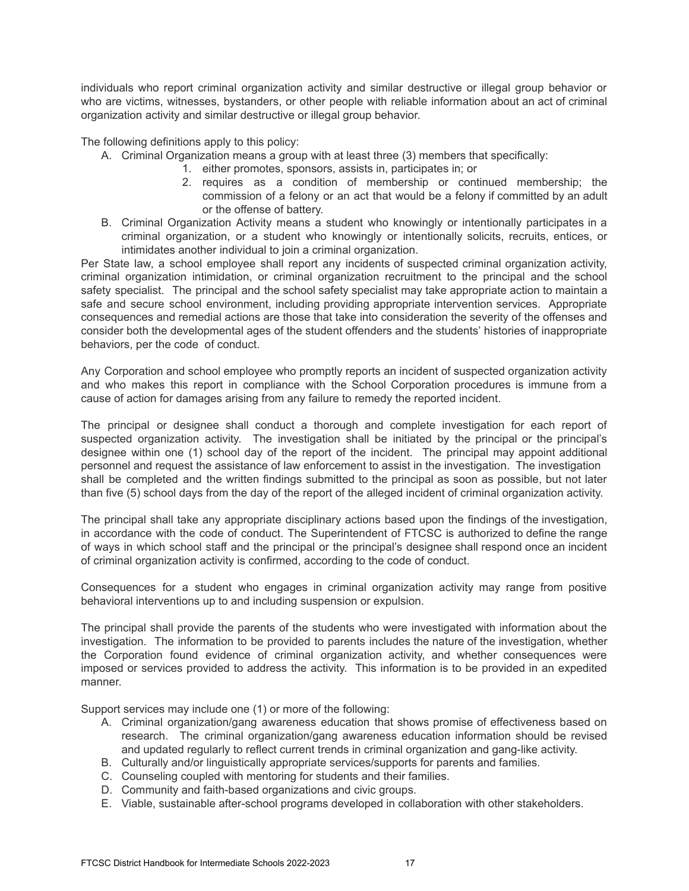individuals who report criminal organization activity and similar destructive or illegal group behavior or who are victims, witnesses, bystanders, or other people with reliable information about an act of criminal organization activity and similar destructive or illegal group behavior.

The following definitions apply to this policy:

- A. Criminal Organization means a group with at least three (3) members that specifically:
	- 1. either promotes, sponsors, assists in, participates in; or
	- 2. requires as a condition of membership or continued membership; the commission of a felony or an act that would be a felony if committed by an adult or the offense of battery.
- B. Criminal Organization Activity means a student who knowingly or intentionally participates in a criminal organization, or a student who knowingly or intentionally solicits, recruits, entices, or intimidates another individual to join a criminal organization.

Per State law, a school employee shall report any incidents of suspected criminal organization activity, criminal organization intimidation, or criminal organization recruitment to the principal and the school safety specialist. The principal and the school safety specialist may take appropriate action to maintain a safe and secure school environment, including providing appropriate intervention services. Appropriate consequences and remedial actions are those that take into consideration the severity of the offenses and consider both the developmental ages of the student offenders and the students' histories of inappropriate behaviors, per the code of conduct.

Any Corporation and school employee who promptly reports an incident of suspected organization activity and who makes this report in compliance with the School Corporation procedures is immune from a cause of action for damages arising from any failure to remedy the reported incident.

The principal or designee shall conduct a thorough and complete investigation for each report of suspected organization activity. The investigation shall be initiated by the principal or the principal's designee within one (1) school day of the report of the incident. The principal may appoint additional personnel and request the assistance of law enforcement to assist in the investigation. The investigation shall be completed and the written findings submitted to the principal as soon as possible, but not later than five (5) school days from the day of the report of the alleged incident of criminal organization activity.

The principal shall take any appropriate disciplinary actions based upon the findings of the investigation, in accordance with the code of conduct. The Superintendent of FTCSC is authorized to define the range of ways in which school staff and the principal or the principal's designee shall respond once an incident of criminal organization activity is confirmed, according to the code of conduct.

Consequences for a student who engages in criminal organization activity may range from positive behavioral interventions up to and including suspension or expulsion.

The principal shall provide the parents of the students who were investigated with information about the investigation. The information to be provided to parents includes the nature of the investigation, whether the Corporation found evidence of criminal organization activity, and whether consequences were imposed or services provided to address the activity. This information is to be provided in an expedited manner.

Support services may include one (1) or more of the following:

- A. Criminal organization/gang awareness education that shows promise of effectiveness based on research. The criminal organization/gang awareness education information should be revised and updated regularly to reflect current trends in criminal organization and gang-like activity.
- B. Culturally and/or linguistically appropriate services/supports for parents and families.
- C. Counseling coupled with mentoring for students and their families.
- D. Community and faith-based organizations and civic groups.
- E. Viable, sustainable after-school programs developed in collaboration with other stakeholders.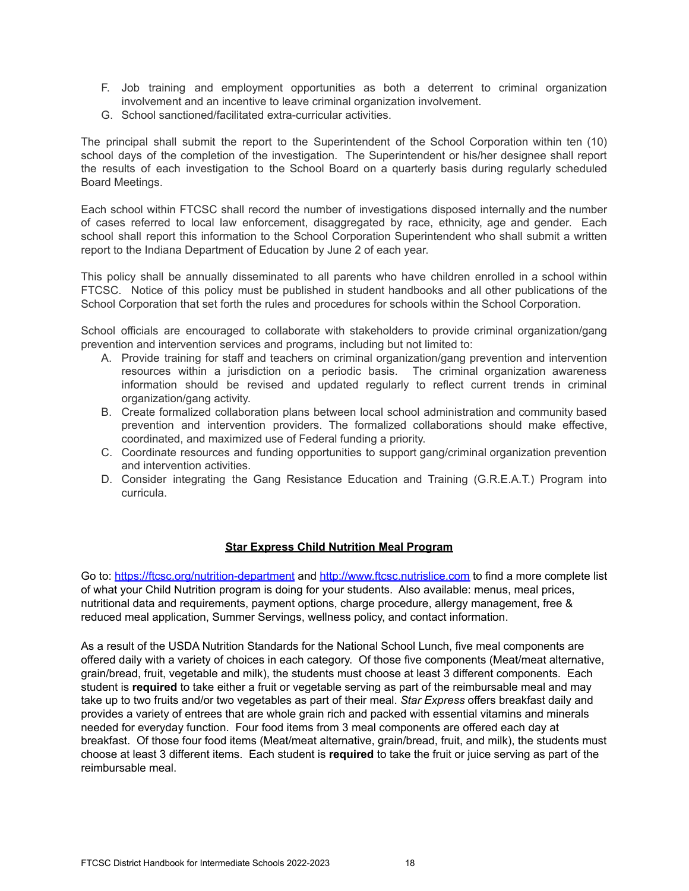- F. Job training and employment opportunities as both a deterrent to criminal organization involvement and an incentive to leave criminal organization involvement.
- G. School sanctioned/facilitated extra-curricular activities.

The principal shall submit the report to the Superintendent of the School Corporation within ten (10) school days of the completion of the investigation. The Superintendent or his/her designee shall report the results of each investigation to the School Board on a quarterly basis during regularly scheduled Board Meetings.

Each school within FTCSC shall record the number of investigations disposed internally and the number of cases referred to local law enforcement, disaggregated by race, ethnicity, age and gender. Each school shall report this information to the School Corporation Superintendent who shall submit a written report to the Indiana Department of Education by June 2 of each year.

This policy shall be annually disseminated to all parents who have children enrolled in a school within FTCSC. Notice of this policy must be published in student handbooks and all other publications of the School Corporation that set forth the rules and procedures for schools within the School Corporation.

School officials are encouraged to collaborate with stakeholders to provide criminal organization/gang prevention and intervention services and programs, including but not limited to:

- A. Provide training for staff and teachers on criminal organization/gang prevention and intervention resources within a jurisdiction on a periodic basis. The criminal organization awareness information should be revised and updated regularly to reflect current trends in criminal organization/gang activity.
- B. Create formalized collaboration plans between local school administration and community based prevention and intervention providers. The formalized collaborations should make effective, coordinated, and maximized use of Federal funding a priority.
- C. Coordinate resources and funding opportunities to support gang/criminal organization prevention and intervention activities.
- D. Consider integrating the Gang Resistance Education and Training (G.R.E.A.T.) Program into curricula.

# **Star Express Child Nutrition Meal Program**

Go to: [https://ftcsc.org/nutrition-department](https://ftcsc.org/nutrition-department%20) and <http://www.ftcsc.nutrislice.com> to find a more complete list of what your Child Nutrition program is doing for your students. Also available: menus, meal prices, nutritional data and requirements, payment options, charge procedure, allergy management, free & reduced meal application, Summer Servings, wellness policy, and contact information.

As a result of the USDA Nutrition Standards for the National School Lunch, five meal components are offered daily with a variety of choices in each category. Of those five components (Meat/meat alternative, grain/bread, fruit, vegetable and milk), the students must choose at least 3 different components. Each student is **required** to take either a fruit or vegetable serving as part of the reimbursable meal and may take up to two fruits and/or two vegetables as part of their meal. *Star Express* offers breakfast daily and provides a variety of entrees that are whole grain rich and packed with essential vitamins and minerals needed for everyday function. Four food items from 3 meal components are offered each day at breakfast. Of those four food items (Meat/meat alternative, grain/bread, fruit, and milk), the students must choose at least 3 different items. Each student is **required** to take the fruit or juice serving as part of the reimbursable meal.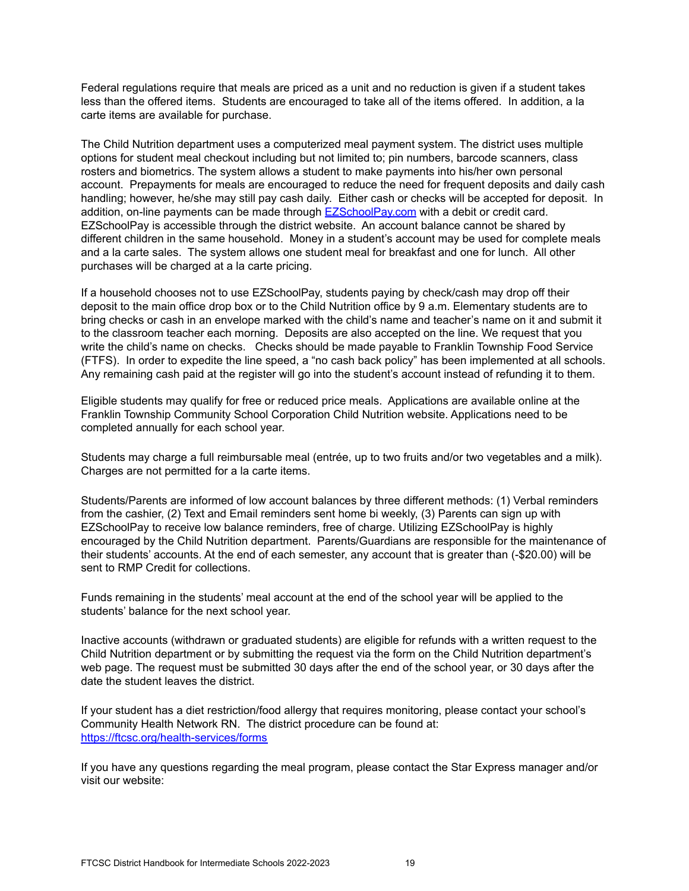Federal regulations require that meals are priced as a unit and no reduction is given if a student takes less than the offered items. Students are encouraged to take all of the items offered. In addition, a la carte items are available for purchase.

The Child Nutrition department uses a computerized meal payment system. The district uses multiple options for student meal checkout including but not limited to; pin numbers, barcode scanners, class rosters and biometrics. The system allows a student to make payments into his/her own personal account. Prepayments for meals are encouraged to reduce the need for frequent deposits and daily cash handling; however, he/she may still pay cash daily. Either cash or checks will be accepted for deposit. In addition, on-line payments can be made through **[EZSchoolPay.com](http://www.ezschoolpay.com)** with a debit or credit card. EZSchoolPay is accessible through the district website. An account balance cannot be shared by different children in the same household. Money in a student's account may be used for complete meals and a la carte sales. The system allows one student meal for breakfast and one for lunch. All other purchases will be charged at a la carte pricing.

If a household chooses not to use EZSchoolPay, students paying by check/cash may drop off their deposit to the main office drop box or to the Child Nutrition office by 9 a.m. Elementary students are to bring checks or cash in an envelope marked with the child's name and teacher's name on it and submit it to the classroom teacher each morning. Deposits are also accepted on the line. We request that you write the child's name on checks. Checks should be made payable to Franklin Township Food Service (FTFS). In order to expedite the line speed, a "no cash back policy" has been implemented at all schools. Any remaining cash paid at the register will go into the student's account instead of refunding it to them.

Eligible students may qualify for free or reduced price meals. Applications are available online at the Franklin Township Community School Corporation Child Nutrition website. Applications need to be completed annually for each school year.

Students may charge a full reimbursable meal (entrée, up to two fruits and/or two vegetables and a milk). Charges are not permitted for a la carte items.

Students/Parents are informed of low account balances by three different methods: (1) Verbal reminders from the cashier, (2) Text and Email reminders sent home bi weekly, (3) Parents can sign up with EZSchoolPay to receive low balance reminders, free of charge. Utilizing EZSchoolPay is highly encouraged by the Child Nutrition department. Parents/Guardians are responsible for the maintenance of their students' accounts. At the end of each semester, any account that is greater than (-\$20.00) will be sent to RMP Credit for collections.

Funds remaining in the students' meal account at the end of the school year will be applied to the students' balance for the next school year.

Inactive accounts (withdrawn or graduated students) are eligible for refunds with a written request to the Child Nutrition department or by submitting the request via the form on the Child Nutrition department's web page. The request must be submitted 30 days after the end of the school year, or 30 days after the date the student leaves the district.

If your student has a diet restriction/food allergy that requires monitoring, please contact your school's Community Health Network RN. The district procedure can be found at: <https://ftcsc.org/health-services/forms>

If you have any questions regarding the meal program, please contact the Star Express manager and/or visit our website: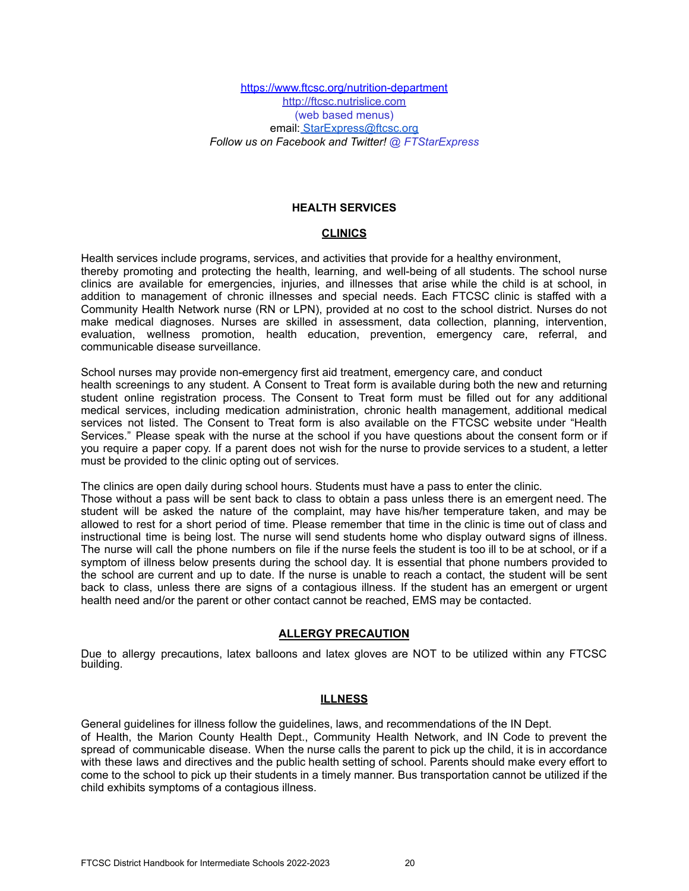<https://www.ftcsc.org/nutrition-department> <http://ftcsc.nutrislice.com> (web based menus) email: [StarExpress@ftcsc.org](mailto:StarExpress@ftcsc.org) *Follow us on Facebook and Twitter! @ FTStarExpress*

### **HEALTH SERVICES**

# **CLINICS**

Health services include programs, services, and activities that provide for a healthy environment, thereby promoting and protecting the health, learning, and well-being of all students. The school nurse clinics are available for emergencies, injuries, and illnesses that arise while the child is at school, in addition to management of chronic illnesses and special needs. Each FTCSC clinic is staffed with a Community Health Network nurse (RN or LPN), provided at no cost to the school district. Nurses do not make medical diagnoses. Nurses are skilled in assessment, data collection, planning, intervention, evaluation, wellness promotion, health education, prevention, emergency care, referral, and communicable disease surveillance.

School nurses may provide non-emergency first aid treatment, emergency care, and conduct health screenings to any student. A Consent to Treat form is available during both the new and returning student online registration process. The Consent to Treat form must be filled out for any additional medical services, including medication administration, chronic health management, additional medical services not listed. The Consent to Treat form is also available on the FTCSC website under "Health Services." Please speak with the nurse at the school if you have questions about the consent form or if you require a paper copy. If a parent does not wish for the nurse to provide services to a student, a letter must be provided to the clinic opting out of services.

The clinics are open daily during school hours. Students must have a pass to enter the clinic.

Those without a pass will be sent back to class to obtain a pass unless there is an emergent need. The student will be asked the nature of the complaint, may have his/her temperature taken, and may be allowed to rest for a short period of time. Please remember that time in the clinic is time out of class and instructional time is being lost. The nurse will send students home who display outward signs of illness. The nurse will call the phone numbers on file if the nurse feels the student is too ill to be at school, or if a symptom of illness below presents during the school day. It is essential that phone numbers provided to the school are current and up to date. If the nurse is unable to reach a contact, the student will be sent back to class, unless there are signs of a contagious illness. If the student has an emergent or urgent health need and/or the parent or other contact cannot be reached, EMS may be contacted.

# **ALLERGY PRECAUTION**

Due to allergy precautions, latex balloons and latex gloves are NOT to be utilized within any FTCSC building.

### **ILLNESS**

General guidelines for illness follow the guidelines, laws, and recommendations of the IN Dept. of Health, the Marion County Health Dept., Community Health Network, and IN Code to prevent the spread of communicable disease. When the nurse calls the parent to pick up the child, it is in accordance with these laws and directives and the public health setting of school. Parents should make every effort to come to the school to pick up their students in a timely manner. Bus transportation cannot be utilized if the child exhibits symptoms of a contagious illness.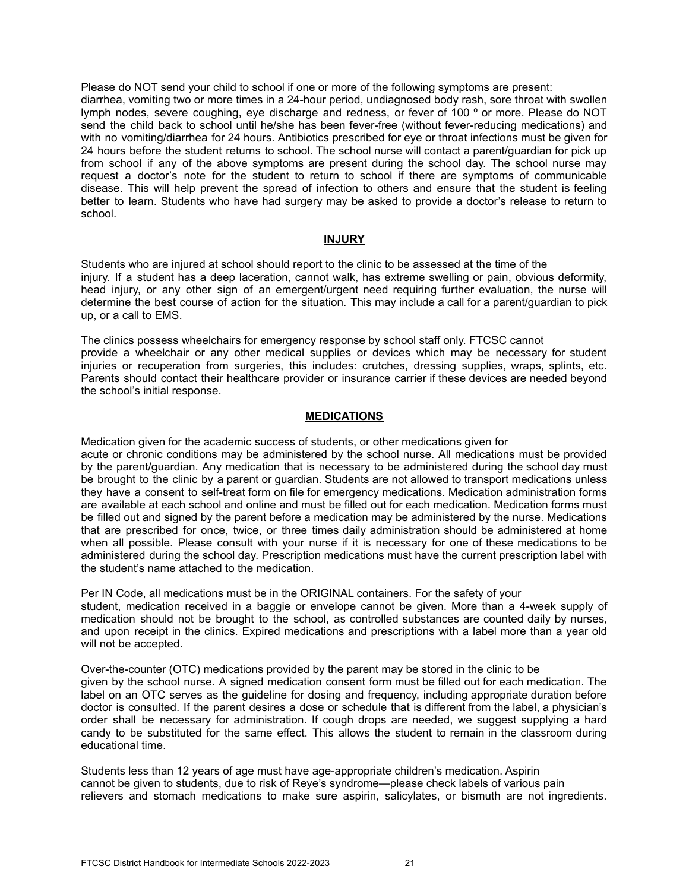Please do NOT send your child to school if one or more of the following symptoms are present: diarrhea, vomiting two or more times in a 24-hour period, undiagnosed body rash, sore throat with swollen lymph nodes, severe coughing, eye discharge and redness, or fever of 100 º or more. Please do NOT send the child back to school until he/she has been fever-free (without fever-reducing medications) and with no vomiting/diarrhea for 24 hours. Antibiotics prescribed for eye or throat infections must be given for 24 hours before the student returns to school. The school nurse will contact a parent/guardian for pick up from school if any of the above symptoms are present during the school day. The school nurse may request a doctor's note for the student to return to school if there are symptoms of communicable disease. This will help prevent the spread of infection to others and ensure that the student is feeling better to learn. Students who have had surgery may be asked to provide a doctor's release to return to school.

### **INJURY**

Students who are injured at school should report to the clinic to be assessed at the time of the injury. If a student has a deep laceration, cannot walk, has extreme swelling or pain, obvious deformity, head injury, or any other sign of an emergent/urgent need requiring further evaluation, the nurse will determine the best course of action for the situation. This may include a call for a parent/guardian to pick up, or a call to EMS.

The clinics possess wheelchairs for emergency response by school staff only. FTCSC cannot provide a wheelchair or any other medical supplies or devices which may be necessary for student injuries or recuperation from surgeries, this includes: crutches, dressing supplies, wraps, splints, etc. Parents should contact their healthcare provider or insurance carrier if these devices are needed beyond the school's initial response.

### **MEDICATIONS**

Medication given for the academic success of students, or other medications given for acute or chronic conditions may be administered by the school nurse. All medications must be provided by the parent/guardian. Any medication that is necessary to be administered during the school day must be brought to the clinic by a parent or guardian. Students are not allowed to transport medications unless they have a consent to self-treat form on file for emergency medications. Medication administration forms are available at each school and online and must be filled out for each medication. Medication forms must be filled out and signed by the parent before a medication may be administered by the nurse. Medications that are prescribed for once, twice, or three times daily administration should be administered at home when all possible. Please consult with your nurse if it is necessary for one of these medications to be administered during the school day. Prescription medications must have the current prescription label with the student's name attached to the medication.

Per IN Code, all medications must be in the ORIGINAL containers. For the safety of your student, medication received in a baggie or envelope cannot be given. More than a 4-week supply of medication should not be brought to the school, as controlled substances are counted daily by nurses, and upon receipt in the clinics. Expired medications and prescriptions with a label more than a year old will not be accepted.

Over-the-counter (OTC) medications provided by the parent may be stored in the clinic to be given by the school nurse. A signed medication consent form must be filled out for each medication. The label on an OTC serves as the guideline for dosing and frequency, including appropriate duration before doctor is consulted. If the parent desires a dose or schedule that is different from the label, a physician's order shall be necessary for administration. If cough drops are needed, we suggest supplying a hard candy to be substituted for the same effect. This allows the student to remain in the classroom during educational time.

Students less than 12 years of age must have age-appropriate children's medication. Aspirin cannot be given to students, due to risk of Reye's syndrome—please check labels of various pain relievers and stomach medications to make sure aspirin, salicylates, or bismuth are not ingredients.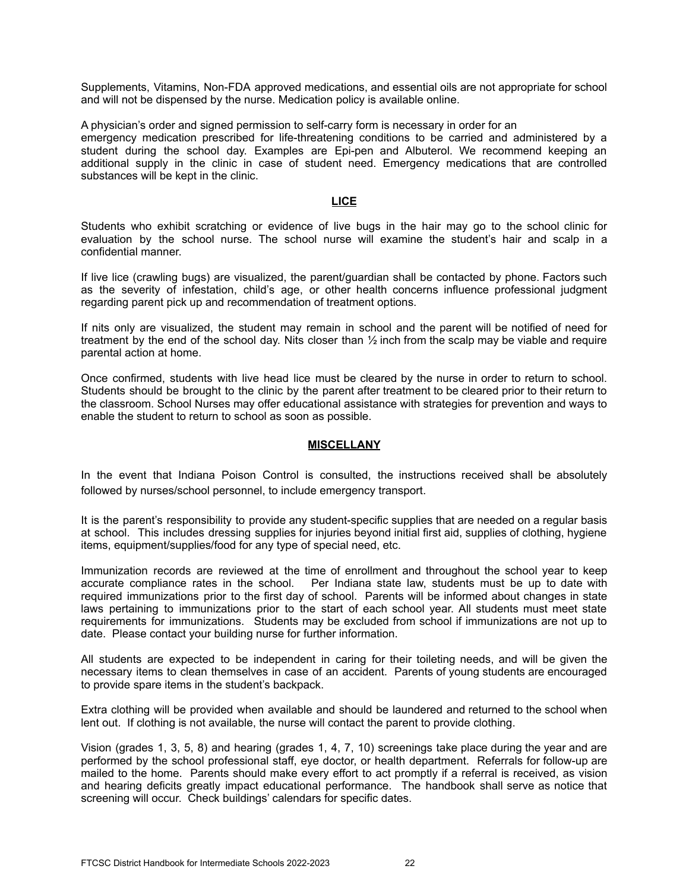Supplements, Vitamins, Non-FDA approved medications, and essential oils are not appropriate for school and will not be dispensed by the nurse. Medication policy is available online.

A physician's order and signed permission to self-carry form is necessary in order for an emergency medication prescribed for life-threatening conditions to be carried and administered by a student during the school day. Examples are Epi-pen and Albuterol. We recommend keeping an additional supply in the clinic in case of student need. Emergency medications that are controlled substances will be kept in the clinic.

### **LICE**

Students who exhibit scratching or evidence of live bugs in the hair may go to the school clinic for evaluation by the school nurse. The school nurse will examine the student's hair and scalp in a confidential manner.

If live lice (crawling bugs) are visualized, the parent/guardian shall be contacted by phone. Factors such as the severity of infestation, child's age, or other health concerns influence professional judgment regarding parent pick up and recommendation of treatment options.

If nits only are visualized, the student may remain in school and the parent will be notified of need for treatment by the end of the school day. Nits closer than ½ inch from the scalp may be viable and require parental action at home.

Once confirmed, students with live head lice must be cleared by the nurse in order to return to school. Students should be brought to the clinic by the parent after treatment to be cleared prior to their return to the classroom. School Nurses may offer educational assistance with strategies for prevention and ways to enable the student to return to school as soon as possible.

### **MISCELLANY**

In the event that Indiana Poison Control is consulted, the instructions received shall be absolutely followed by nurses/school personnel, to include emergency transport.

It is the parent's responsibility to provide any student-specific supplies that are needed on a regular basis at school. This includes dressing supplies for injuries beyond initial first aid, supplies of clothing, hygiene items, equipment/supplies/food for any type of special need, etc.

Immunization records are reviewed at the time of enrollment and throughout the school year to keep accurate compliance rates in the school. Per Indiana state law, students must be up to date with required immunizations prior to the first day of school. Parents will be informed about changes in state laws pertaining to immunizations prior to the start of each school year. All students must meet state requirements for immunizations. Students may be excluded from school if immunizations are not up to date. Please contact your building nurse for further information.

All students are expected to be independent in caring for their toileting needs, and will be given the necessary items to clean themselves in case of an accident. Parents of young students are encouraged to provide spare items in the student's backpack.

Extra clothing will be provided when available and should be laundered and returned to the school when lent out. If clothing is not available, the nurse will contact the parent to provide clothing.

Vision (grades 1, 3, 5, 8) and hearing (grades 1, 4, 7, 10) screenings take place during the year and are performed by the school professional staff, eye doctor, or health department. Referrals for follow-up are mailed to the home. Parents should make every effort to act promptly if a referral is received, as vision and hearing deficits greatly impact educational performance. The handbook shall serve as notice that screening will occur. Check buildings' calendars for specific dates.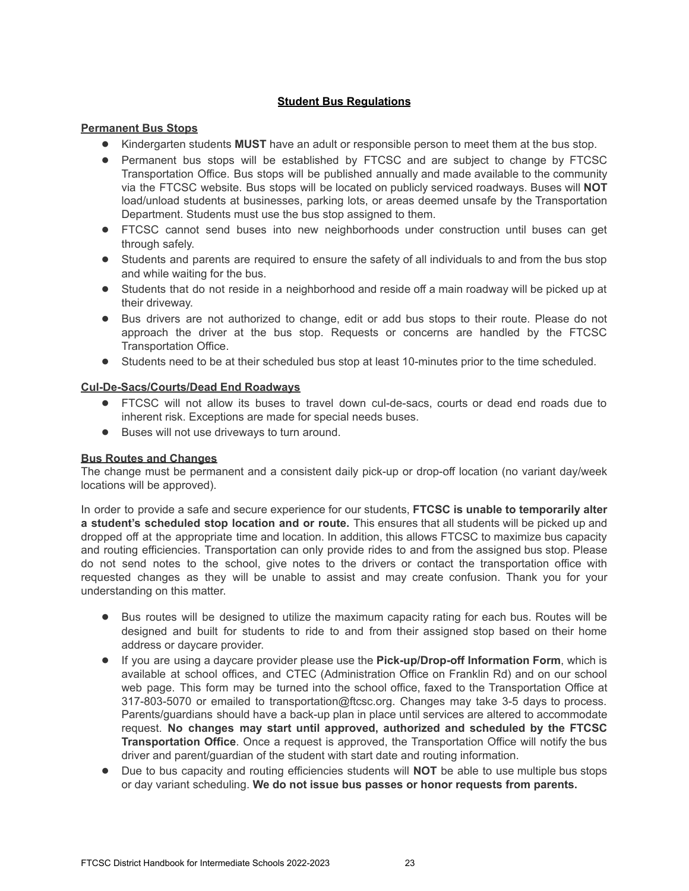# **Student Bus Regulations**

# **Permanent Bus Stops**

- Kindergarten students **MUST** have an adult or responsible person to meet them at the bus stop.
- Permanent bus stops will be established by FTCSC and are subject to change by FTCSC Transportation Office. Bus stops will be published annually and made available to the community via the FTCSC website. Bus stops will be located on publicly serviced roadways. Buses will **NOT** load/unload students at businesses, parking lots, or areas deemed unsafe by the Transportation Department. Students must use the bus stop assigned to them.
- FTCSC cannot send buses into new neighborhoods under construction until buses can get through safely.
- Students and parents are required to ensure the safety of all individuals to and from the bus stop and while waiting for the bus.
- Students that do not reside in a neighborhood and reside off a main roadway will be picked up at their driveway.
- Bus drivers are not authorized to change, edit or add bus stops to their route. Please do not approach the driver at the bus stop. Requests or concerns are handled by the FTCSC Transportation Office.
- Students need to be at their scheduled bus stop at least 10-minutes prior to the time scheduled.

# **Cul-De-Sacs/Courts/Dead End Roadways**

- FTCSC will not allow its buses to travel down cul-de-sacs, courts or dead end roads due to inherent risk. Exceptions are made for special needs buses.
- Buses will not use driveways to turn around.

### **Bus Routes and Changes**

The change must be permanent and a consistent daily pick-up or drop-off location (no variant day/week locations will be approved).

In order to provide a safe and secure experience for our students, **FTCSC is unable to temporarily alter a student's scheduled stop location and or route.** This ensures that all students will be picked up and dropped off at the appropriate time and location. In addition, this allows FTCSC to maximize bus capacity and routing efficiencies. Transportation can only provide rides to and from the assigned bus stop. Please do not send notes to the school, give notes to the drivers or contact the transportation office with requested changes as they will be unable to assist and may create confusion. Thank you for your understanding on this matter.

- Bus routes will be designed to utilize the maximum capacity rating for each bus. Routes will be designed and built for students to ride to and from their assigned stop based on their home address or daycare provider.
- If you are using a daycare provider please use the **Pick-up/Drop-off Information Form**, which is available at school offices, and CTEC (Administration Office on Franklin Rd) and on our school web page. This form may be turned into the school office, faxed to the Transportation Office at 317-803-5070 or emailed to transportation@ftcsc.org. Changes may take 3-5 days to process. Parents/guardians should have a back-up plan in place until services are altered to accommodate request. **No changes may start until approved, authorized and scheduled by the FTCSC Transportation Office**. Once a request is approved, the Transportation Office will notify the bus driver and parent/guardian of the student with start date and routing information.
- Due to bus capacity and routing efficiencies students will **NOT** be able to use multiple bus stops or day variant scheduling. **We do not issue bus passes or honor requests from parents.**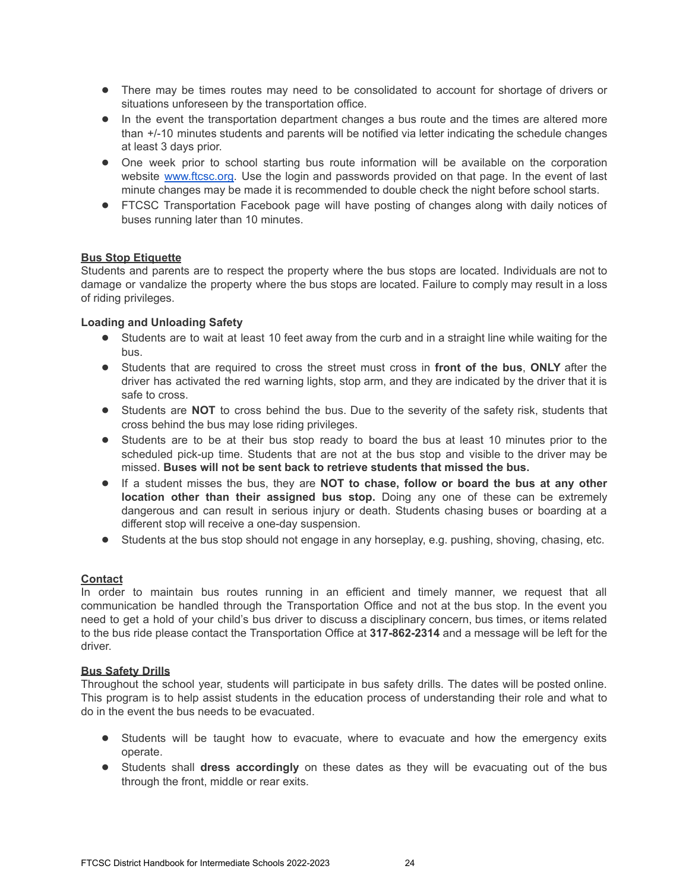- There may be times routes may need to be consolidated to account for shortage of drivers or situations unforeseen by the transportation office.
- In the event the transportation department changes a bus route and the times are altered more than +/-10 minutes students and parents will be notified via letter indicating the schedule changes at least 3 days prior.
- One week prior to school starting bus route information will be available on the corporation website [www.ftcsc.org.](http://www.ftcsc.org) Use the login and passwords provided on that page. In the event of last minute changes may be made it is recommended to double check the night before school starts.
- FTCSC Transportation Facebook page will have posting of changes along with daily notices of buses running later than 10 minutes.

# **Bus Stop Etiquette**

Students and parents are to respect the property where the bus stops are located. Individuals are not to damage or vandalize the property where the bus stops are located. Failure to comply may result in a loss of riding privileges.

# **Loading and Unloading Safety**

- Students are to wait at least 10 feet away from the curb and in a straight line while waiting for the bus.
- Students that are required to cross the street must cross in **front of the bus**, **ONLY** after the driver has activated the red warning lights, stop arm, and they are indicated by the driver that it is safe to cross.
- Students are **NOT** to cross behind the bus. Due to the severity of the safety risk, students that cross behind the bus may lose riding privileges.
- Students are to be at their bus stop ready to board the bus at least 10 minutes prior to the scheduled pick-up time. Students that are not at the bus stop and visible to the driver may be missed. **Buses will not be sent back to retrieve students that missed the bus.**
- If a student misses the bus, they are **NOT to chase, follow or board the bus at any other location other than their assigned bus stop.** Doing any one of these can be extremely dangerous and can result in serious injury or death. Students chasing buses or boarding at a different stop will receive a one-day suspension.
- Students at the bus stop should not engage in any horseplay, e.g. pushing, shoving, chasing, etc.

### **Contact**

In order to maintain bus routes running in an efficient and timely manner, we request that all communication be handled through the Transportation Office and not at the bus stop. In the event you need to get a hold of your child's bus driver to discuss a disciplinary concern, bus times, or items related to the bus ride please contact the Transportation Office at **317-862-2314** and a message will be left for the driver.

### **Bus Safety Drills**

Throughout the school year, students will participate in bus safety drills. The dates will be posted online. This program is to help assist students in the education process of understanding their role and what to do in the event the bus needs to be evacuated.

- Students will be taught how to evacuate, where to evacuate and how the emergency exits operate.
- Students shall **dress accordingly** on these dates as they will be evacuating out of the bus through the front, middle or rear exits.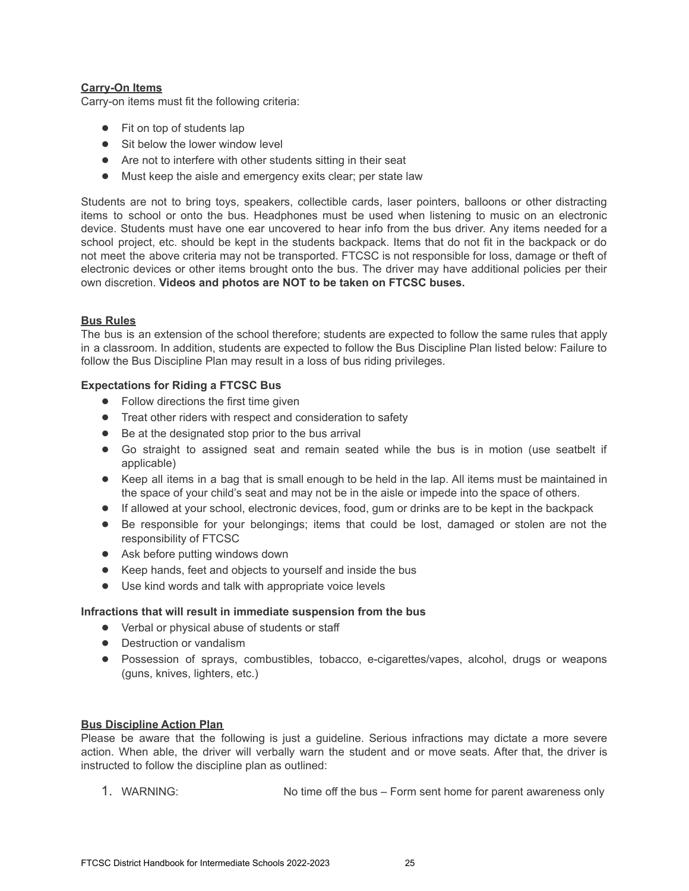# **Carry-On Items**

Carry-on items must fit the following criteria:

- Fit on top of students lap
- Sit below the lower window level
- Are not to interfere with other students sitting in their seat
- Must keep the aisle and emergency exits clear; per state law

Students are not to bring toys, speakers, collectible cards, laser pointers, balloons or other distracting items to school or onto the bus. Headphones must be used when listening to music on an electronic device. Students must have one ear uncovered to hear info from the bus driver. Any items needed for a school project, etc. should be kept in the students backpack. Items that do not fit in the backpack or do not meet the above criteria may not be transported. FTCSC is not responsible for loss, damage or theft of electronic devices or other items brought onto the bus. The driver may have additional policies per their own discretion. **Videos and photos are NOT to be taken on FTCSC buses.**

# **Bus Rules**

The bus is an extension of the school therefore; students are expected to follow the same rules that apply in a classroom. In addition, students are expected to follow the Bus Discipline Plan listed below: Failure to follow the Bus Discipline Plan may result in a loss of bus riding privileges.

# **Expectations for Riding a FTCSC Bus**

- Follow directions the first time given
- Treat other riders with respect and consideration to safety
- Be at the designated stop prior to the bus arrival
- Go straight to assigned seat and remain seated while the bus is in motion (use seatbelt if applicable)
- Keep all items in a bag that is small enough to be held in the lap. All items must be maintained in the space of your child's seat and may not be in the aisle or impede into the space of others.
- If allowed at your school, electronic devices, food, gum or drinks are to be kept in the backpack
- Be responsible for your belongings; items that could be lost, damaged or stolen are not the responsibility of FTCSC
- Ask before putting windows down
- Keep hands, feet and objects to yourself and inside the bus
- Use kind words and talk with appropriate voice levels

# **Infractions that will result in immediate suspension from the bus**

- Verbal or physical abuse of students or staff
- Destruction or vandalism
- Possession of sprays, combustibles, tobacco, e-cigarettes/vapes, alcohol, drugs or weapons (guns, knives, lighters, etc.)

# **Bus Discipline Action Plan**

Please be aware that the following is just a guideline. Serious infractions may dictate a more severe action. When able, the driver will verbally warn the student and or move seats. After that, the driver is instructed to follow the discipline plan as outlined:

1. WARNING: No time off the bus – Form sent home for parent awareness only